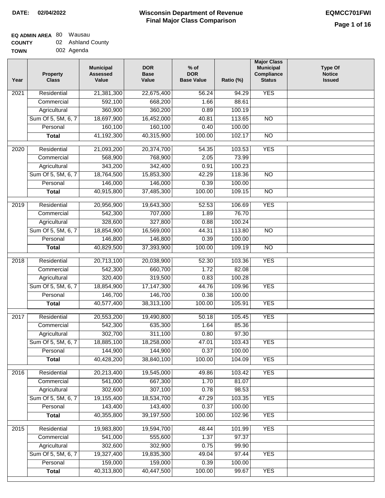$\Box$ 

# **Wisconsin Department of Revenue Final Major Class Comparison DATE: 02/04/2022 EQMCC701FWI**

## **EQ ADMIN AREA** 80 Wausau

| <b>COUNTY</b> | 02 Ashland County |
|---------------|-------------------|
| TOWN          | 002 Agenda        |

| Year | <b>Property</b><br><b>Class</b> | <b>Municipal</b><br><b>Assessed</b><br>Value | <b>DOR</b><br><b>Base</b><br>Value | $%$ of<br><b>DOR</b><br><b>Base Value</b> | Ratio (%) | <b>Major Class</b><br><b>Municipal</b><br>Compliance<br><b>Status</b> | <b>Type Of</b><br><b>Notice</b><br><b>Issued</b> |
|------|---------------------------------|----------------------------------------------|------------------------------------|-------------------------------------------|-----------|-----------------------------------------------------------------------|--------------------------------------------------|
| 2021 | Residential                     | 21,381,300                                   | 22,675,400                         | 56.24                                     | 94.29     | <b>YES</b>                                                            |                                                  |
|      | Commercial                      | 592,100                                      | 668,200                            | 1.66                                      | 88.61     |                                                                       |                                                  |
|      | Agricultural                    | 360,900                                      | 360,200                            | 0.89                                      | 100.19    |                                                                       |                                                  |
|      | Sum Of 5, 5M, 6, 7              | 18,697,900                                   | 16,452,000                         | 40.81                                     | 113.65    | $\overline{NO}$                                                       |                                                  |
|      | Personal                        | 160,100                                      | 160,100                            | 0.40                                      | 100.00    |                                                                       |                                                  |
|      | <b>Total</b>                    | 41,192,300                                   | 40,315,900                         | 100.00                                    | 102.17    | $\overline{NO}$                                                       |                                                  |
| 2020 | Residential                     | 21,093,200                                   | 20,374,700                         | 54.35                                     | 103.53    | <b>YES</b>                                                            |                                                  |
|      | Commercial                      | 568,900                                      | 768,900                            | 2.05                                      | 73.99     |                                                                       |                                                  |
|      | Agricultural                    | 343,200                                      | 342,400                            | 0.91                                      | 100.23    |                                                                       |                                                  |
|      | Sum Of 5, 5M, 6, 7              | 18,764,500                                   | 15,853,300                         | 42.29                                     | 118.36    | $\overline{NO}$                                                       |                                                  |
|      | Personal                        | 146,000                                      | 146,000                            | 0.39                                      | 100.00    |                                                                       |                                                  |
|      | <b>Total</b>                    | 40,915,800                                   | 37,485,300                         | 100.00                                    | 109.15    | $\overline{NO}$                                                       |                                                  |
| 2019 | Residential                     | 20,956,900                                   | 19,643,300                         | 52.53                                     | 106.69    | <b>YES</b>                                                            |                                                  |
|      | Commercial                      | 542,300                                      | 707,000                            | 1.89                                      | 76.70     |                                                                       |                                                  |
|      | Agricultural                    | 328,600                                      | 327,800                            | 0.88                                      | 100.24    |                                                                       |                                                  |
|      | Sum Of 5, 5M, 6, 7              | 18,854,900                                   | 16,569,000                         | 44.31                                     | 113.80    | $\overline{NO}$                                                       |                                                  |
|      | Personal                        | 146,800                                      | 146,800                            | 0.39                                      | 100.00    |                                                                       |                                                  |
|      | <b>Total</b>                    | 40,829,500                                   | 37,393,900                         | 100.00                                    | 109.19    | <b>NO</b>                                                             |                                                  |
|      |                                 |                                              |                                    |                                           |           |                                                                       |                                                  |
| 2018 | Residential                     | 20,713,100                                   | 20,038,900                         | 52.30                                     | 103.36    | <b>YES</b>                                                            |                                                  |
|      | Commercial                      | 542,300                                      | 660,700                            | 1.72                                      | 82.08     |                                                                       |                                                  |
|      | Agricultural                    | 320,400                                      | 319,500                            | 0.83                                      | 100.28    |                                                                       |                                                  |
|      | Sum Of 5, 5M, 6, 7              | 18,854,900                                   | 17, 147, 300                       | 44.76                                     | 109.96    | <b>YES</b>                                                            |                                                  |
|      | Personal                        | 146,700                                      | 146,700                            | 0.38                                      | 100.00    |                                                                       |                                                  |
|      | <b>Total</b>                    | 40,577,400                                   | 38,313,100                         | 100.00                                    | 105.91    | <b>YES</b>                                                            |                                                  |
| 2017 | Residential                     | 20,553,200                                   | 19,490,800                         | 50.18                                     | 105.45    | <b>YES</b>                                                            |                                                  |
|      | Commercial                      | 542,300                                      | 635,300                            | 1.64                                      | 85.36     |                                                                       |                                                  |
|      | Agricultural                    | 302,700                                      | 311,100                            | 0.80                                      | 97.30     |                                                                       |                                                  |
|      | Sum Of 5, 5M, 6, 7              | 18,885,100                                   | 18,258,000                         | 47.01                                     | 103.43    | <b>YES</b>                                                            |                                                  |
|      | Personal                        | 144,900                                      | 144,900                            | 0.37                                      | 100.00    |                                                                       |                                                  |
|      | <b>Total</b>                    | 40,428,200                                   | 38,840,100                         | 100.00                                    | 104.09    | <b>YES</b>                                                            |                                                  |
| 2016 | Residential                     | 20,213,400                                   | 19,545,000                         | 49.86                                     | 103.42    | <b>YES</b>                                                            |                                                  |
|      | Commercial                      | 541,000                                      | 667,300                            | 1.70                                      | 81.07     |                                                                       |                                                  |
|      | Agricultural                    | 302,600                                      | 307,100                            | 0.78                                      | 98.53     |                                                                       |                                                  |
|      | Sum Of 5, 5M, 6, 7              | 19,155,400                                   | 18,534,700                         | 47.29                                     | 103.35    | <b>YES</b>                                                            |                                                  |
|      | Personal                        | 143,400                                      | 143,400                            | 0.37                                      | 100.00    |                                                                       |                                                  |
|      | <b>Total</b>                    | 40,355,800                                   | 39,197,500                         | 100.00                                    | 102.96    | <b>YES</b>                                                            |                                                  |
| 2015 | Residential                     | 19,983,800                                   | 19,594,700                         | 48.44                                     | 101.99    | <b>YES</b>                                                            |                                                  |
|      | Commercial                      | 541,000                                      | 555,600                            | 1.37                                      | 97.37     |                                                                       |                                                  |
|      | Agricultural                    | 302,600                                      | 302,900                            | 0.75                                      | 99.90     |                                                                       |                                                  |
|      | Sum Of 5, 5M, 6, 7              | 19,327,400                                   | 19,835,300                         | 49.04                                     | 97.44     | <b>YES</b>                                                            |                                                  |
|      | Personal                        | 159,000                                      | 159,000                            | 0.39                                      | 100.00    |                                                                       |                                                  |
|      | <b>Total</b>                    | 40,313,800                                   | 40,447,500                         | 100.00                                    | 99.67     | <b>YES</b>                                                            |                                                  |
|      |                                 |                                              |                                    |                                           |           |                                                                       |                                                  |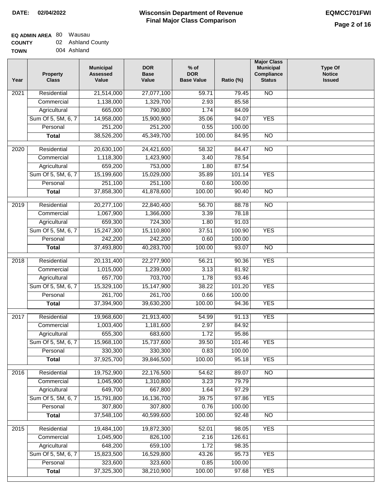#### **EQ ADMIN AREA** 80 Wausau **COUNTY** 02 Ashland County

| <b>UUUNII</b> | $1$ IUI IIUI IU VVII |
|---------------|----------------------|
| <b>TOWN</b>   | 004 Ashland          |

| Year              | <b>Property</b><br><b>Class</b> | <b>Municipal</b><br><b>Assessed</b><br>Value | <b>DOR</b><br><b>Base</b><br>Value | $%$ of<br><b>DOR</b><br><b>Base Value</b> | Ratio (%) | <b>Major Class</b><br><b>Municipal</b><br>Compliance<br><b>Status</b> | <b>Type Of</b><br><b>Notice</b><br><b>Issued</b> |
|-------------------|---------------------------------|----------------------------------------------|------------------------------------|-------------------------------------------|-----------|-----------------------------------------------------------------------|--------------------------------------------------|
| 2021              | Residential                     | 21,514,000                                   | 27,077,100                         | 59.71                                     | 79.45     | <b>NO</b>                                                             |                                                  |
|                   | Commercial                      | 1,138,000                                    | 1,329,700                          | 2.93                                      | 85.58     |                                                                       |                                                  |
|                   | Agricultural                    | 665,000                                      | 790,800                            | 1.74                                      | 84.09     |                                                                       |                                                  |
|                   | Sum Of 5, 5M, 6, 7              | 14,958,000                                   | 15,900,900                         | 35.06                                     | 94.07     | <b>YES</b>                                                            |                                                  |
|                   | Personal                        | 251,200                                      | 251,200                            | 0.55                                      | 100.00    |                                                                       |                                                  |
|                   | <b>Total</b>                    | 38,526,200                                   | 45,349,700                         | 100.00                                    | 84.95     | $\overline{NO}$                                                       |                                                  |
| 2020              | Residential                     | 20,630,100                                   | 24,421,600                         | 58.32                                     | 84.47     | $\overline{NO}$                                                       |                                                  |
|                   | Commercial                      | 1,118,300                                    | 1,423,900                          | 3.40                                      | 78.54     |                                                                       |                                                  |
|                   | Agricultural                    | 659,200                                      | 753,000                            | 1.80                                      | 87.54     |                                                                       |                                                  |
|                   | Sum Of 5, 5M, 6, 7              | 15,199,600                                   | 15,029,000                         | 35.89                                     | 101.14    | <b>YES</b>                                                            |                                                  |
|                   | Personal                        | 251,100                                      | 251,100                            | 0.60                                      | 100.00    |                                                                       |                                                  |
|                   | <b>Total</b>                    | 37,858,300                                   | 41,878,600                         | 100.00                                    | 90.40     | $\overline{NO}$                                                       |                                                  |
| 2019              | Residential                     | 20,277,100                                   | 22,840,400                         | 56.70                                     | 88.78     | N <sub>O</sub>                                                        |                                                  |
|                   | Commercial                      | 1,067,900                                    | 1,366,000                          | 3.39                                      | 78.18     |                                                                       |                                                  |
|                   | Agricultural                    | 659,300                                      | 724,300                            | 1.80                                      | 91.03     |                                                                       |                                                  |
|                   | Sum Of 5, 5M, 6, 7              | 15,247,300                                   | 15,110,800                         | 37.51                                     | 100.90    | <b>YES</b>                                                            |                                                  |
|                   | Personal                        | 242,200                                      | 242,200                            | 0.60                                      | 100.00    |                                                                       |                                                  |
|                   | <b>Total</b>                    | 37,493,800                                   | 40,283,700                         | 100.00                                    | 93.07     | N <sub>O</sub>                                                        |                                                  |
| $\overline{2018}$ | Residential                     | 20,131,400                                   | 22,277,900                         | 56.21                                     | 90.36     | <b>YES</b>                                                            |                                                  |
|                   | Commercial                      | 1,015,000                                    | 1,239,000                          | 3.13                                      | 81.92     |                                                                       |                                                  |
|                   | Agricultural                    | 657,700                                      | 703,700                            | 1.78                                      | 93.46     |                                                                       |                                                  |
|                   | Sum Of 5, 5M, 6, 7              | 15,329,100                                   | 15,147,900                         | 38.22                                     | 101.20    | <b>YES</b>                                                            |                                                  |
|                   | Personal                        | 261,700                                      | 261,700                            | 0.66                                      | 100.00    |                                                                       |                                                  |
|                   | <b>Total</b>                    | 37,394,900                                   | 39,630,200                         | 100.00                                    | 94.36     | <b>YES</b>                                                            |                                                  |
| 2017              | Residential                     | 19,968,600                                   | 21,913,400                         | 54.99                                     | 91.13     | <b>YES</b>                                                            |                                                  |
|                   | Commercial                      | 1,003,400                                    | 1,181,600                          | 2.97                                      | 84.92     |                                                                       |                                                  |
|                   | Agricultural                    | 655,300                                      | 683,600                            | 1.72                                      | 95.86     |                                                                       |                                                  |
|                   | Sum Of 5, 5M, 6, 7              | 15,968,100                                   | 15,737,600                         | 39.50                                     | 101.46    | <b>YES</b>                                                            |                                                  |
|                   | Personal                        | 330,300                                      | 330,300                            | 0.83                                      | 100.00    |                                                                       |                                                  |
|                   | <b>Total</b>                    | 37,925,700                                   | 39,846,500                         | 100.00                                    | 95.18     | <b>YES</b>                                                            |                                                  |
| 2016              | Residential                     | 19,752,900                                   | 22,176,500                         | 54.62                                     | 89.07     | $\overline{NO}$                                                       |                                                  |
|                   | Commercial                      | 1,045,900                                    | 1,310,800                          | 3.23                                      | 79.79     |                                                                       |                                                  |
|                   | Agricultural                    | 649,700                                      | 667,800                            | 1.64                                      | 97.29     |                                                                       |                                                  |
|                   | Sum Of 5, 5M, 6, 7              | 15,791,800                                   | 16,136,700                         | 39.75                                     | 97.86     | <b>YES</b>                                                            |                                                  |
|                   | Personal                        | 307,800                                      | 307,800                            | 0.76                                      | 100.00    |                                                                       |                                                  |
|                   | <b>Total</b>                    | 37,548,100                                   | 40,599,600                         | 100.00                                    | 92.48     | $\overline{NO}$                                                       |                                                  |
| 2015              | Residential                     | 19,484,100                                   | 19,872,300                         | 52.01                                     | 98.05     | <b>YES</b>                                                            |                                                  |
|                   | Commercial                      | 1,045,900                                    | 826,100                            | 2.16                                      | 126.61    |                                                                       |                                                  |
|                   | Agricultural                    | 648,200                                      | 659,100                            | 1.72                                      | 98.35     |                                                                       |                                                  |
|                   | Sum Of 5, 5M, 6, 7              | 15,823,500                                   | 16,529,800                         | 43.26                                     | 95.73     | <b>YES</b>                                                            |                                                  |
|                   | Personal                        | 323,600                                      | 323,600                            | 0.85                                      | 100.00    |                                                                       |                                                  |
|                   | <b>Total</b>                    | 37,325,300                                   | 38,210,900                         | 100.00                                    | 97.68     | <b>YES</b>                                                            |                                                  |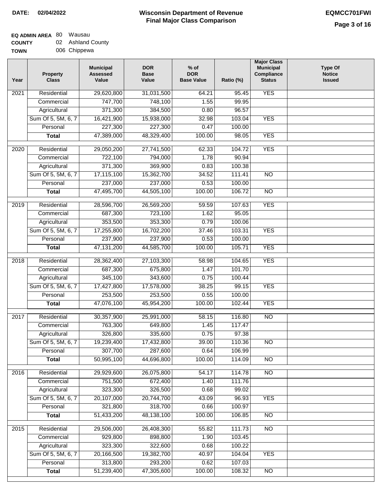# **EQ ADMIN AREA** 80 Wausau

**COUNTY TOWN** 02 Ashland County 006 Chippewa

| Year | Property<br><b>Class</b> | <b>Municipal</b><br><b>Assessed</b><br>Value | <b>DOR</b><br><b>Base</b><br>Value | $%$ of<br><b>DOR</b><br><b>Base Value</b> | Ratio (%) | <b>Major Class</b><br><b>Municipal</b><br>Compliance<br><b>Status</b> | <b>Type Of</b><br><b>Notice</b><br><b>Issued</b> |
|------|--------------------------|----------------------------------------------|------------------------------------|-------------------------------------------|-----------|-----------------------------------------------------------------------|--------------------------------------------------|
| 2021 | Residential              | 29,620,800                                   | 31,031,500                         | 64.21                                     | 95.45     | <b>YES</b>                                                            |                                                  |
|      | Commercial               | 747,700                                      | 748,100                            | 1.55                                      | 99.95     |                                                                       |                                                  |
|      | Agricultural             | 371,300                                      | 384,500                            | 0.80                                      | 96.57     |                                                                       |                                                  |
|      | Sum Of 5, 5M, 6, 7       | 16,421,900                                   | 15,938,000                         | 32.98                                     | 103.04    | <b>YES</b>                                                            |                                                  |
|      | Personal                 | 227,300                                      | 227,300                            | 0.47                                      | 100.00    |                                                                       |                                                  |
|      | <b>Total</b>             | 47,389,000                                   | 48,329,400                         | 100.00                                    | 98.05     | <b>YES</b>                                                            |                                                  |
| 2020 | Residential              | 29,050,200                                   | 27,741,500                         | 62.33                                     | 104.72    | <b>YES</b>                                                            |                                                  |
|      | Commercial               | 722,100                                      | 794,000                            | 1.78                                      | 90.94     |                                                                       |                                                  |
|      | Agricultural             | 371,300                                      | 369,900                            | 0.83                                      | 100.38    |                                                                       |                                                  |
|      | Sum Of 5, 5M, 6, 7       | 17,115,100                                   | 15,362,700                         | 34.52                                     | 111.41    | <b>NO</b>                                                             |                                                  |
|      | Personal                 | 237,000                                      | 237,000                            | 0.53                                      | 100.00    |                                                                       |                                                  |
|      | <b>Total</b>             | 47,495,700                                   | 44,505,100                         | 100.00                                    | 106.72    | $\overline{NO}$                                                       |                                                  |
|      |                          |                                              |                                    |                                           |           |                                                                       |                                                  |
| 2019 | Residential              | 28,596,700                                   | 26,569,200                         | 59.59                                     | 107.63    | <b>YES</b>                                                            |                                                  |
|      | Commercial               | 687,300                                      | 723,100                            | 1.62                                      | 95.05     |                                                                       |                                                  |
|      | Agricultural             | 353,500                                      | 353,300                            | 0.79                                      | 100.06    |                                                                       |                                                  |
|      | Sum Of 5, 5M, 6, 7       | 17,255,800                                   | 16,702,200                         | 37.46                                     | 103.31    | <b>YES</b>                                                            |                                                  |
|      | Personal                 | 237,900                                      | 237,900                            | 0.53                                      | 100.00    |                                                                       |                                                  |
|      | <b>Total</b>             | 47, 131, 200                                 | 44,585,700                         | 100.00                                    | 105.71    | <b>YES</b>                                                            |                                                  |
| 2018 | Residential              | 28,362,400                                   | 27,103,300                         | 58.98                                     | 104.65    | <b>YES</b>                                                            |                                                  |
|      | Commercial               | 687,300                                      | 675,800                            | 1.47                                      | 101.70    |                                                                       |                                                  |
|      | Agricultural             | 345,100                                      | 343,600                            | 0.75                                      | 100.44    |                                                                       |                                                  |
|      | Sum Of 5, 5M, 6, 7       | 17,427,800                                   | 17,578,000                         | 38.25                                     | 99.15     | <b>YES</b>                                                            |                                                  |
|      | Personal                 | 253,500                                      | 253,500                            | 0.55                                      | 100.00    |                                                                       |                                                  |
|      | <b>Total</b>             | 47,076,100                                   | 45,954,200                         | 100.00                                    | 102.44    | <b>YES</b>                                                            |                                                  |
| 2017 | Residential              | 30,357,900                                   | 25,991,000                         | 58.15                                     | 116.80    | $\overline{NO}$                                                       |                                                  |
|      | Commercial               | 763,300                                      | 649,800                            | 1.45                                      | 117.47    |                                                                       |                                                  |
|      | Agricultural             | 326,800                                      | 335,600                            | 0.75                                      | 97.38     |                                                                       |                                                  |
|      | Sum Of 5, 5M, 6, 7       | 19,239,400                                   | 17,432,800                         | 39.00                                     | 110.36    | $\overline{NO}$                                                       |                                                  |
|      | Personal                 | 307,700                                      | 287,600                            | 0.64                                      | 106.99    |                                                                       |                                                  |
|      | <b>Total</b>             | 50,995,100                                   | 44,696,800                         | 100.00                                    | 114.09    | <b>NO</b>                                                             |                                                  |
| 2016 | Residential              | 29,929,600                                   | 26,075,800                         | 54.17                                     | 114.78    | N <sub>O</sub>                                                        |                                                  |
|      | Commercial               | 751,500                                      | 672,400                            | 1.40                                      | 111.76    |                                                                       |                                                  |
|      | Agricultural             | 323,300                                      | 326,500                            | 0.68                                      | 99.02     |                                                                       |                                                  |
|      | Sum Of 5, 5M, 6, 7       | 20,107,000                                   | 20,744,700                         | 43.09                                     | 96.93     | <b>YES</b>                                                            |                                                  |
|      | Personal                 | 321,800                                      | 318,700                            | 0.66                                      | 100.97    |                                                                       |                                                  |
|      | <b>Total</b>             | 51,433,200                                   | 48,138,100                         | 100.00                                    | 106.85    | N <sub>O</sub>                                                        |                                                  |
| 2015 | Residential              | 29,506,000                                   | 26,408,300                         | 55.82                                     | 111.73    | N <sub>O</sub>                                                        |                                                  |
|      | Commercial               | 929,800                                      | 898,800                            | 1.90                                      | 103.45    |                                                                       |                                                  |
|      | Agricultural             | 323,300                                      | 322,600                            | 0.68                                      | 100.22    |                                                                       |                                                  |
|      | Sum Of 5, 5M, 6, 7       | 20,166,500                                   | 19,382,700                         | 40.97                                     | 104.04    | <b>YES</b>                                                            |                                                  |
|      | Personal                 | 313,800                                      | 293,200                            | 0.62                                      | 107.03    |                                                                       |                                                  |
|      | <b>Total</b>             | 51,239,400                                   | 47,305,600                         | 100.00                                    | 108.32    | $\overline{NO}$                                                       |                                                  |
|      |                          |                                              |                                    |                                           |           |                                                                       |                                                  |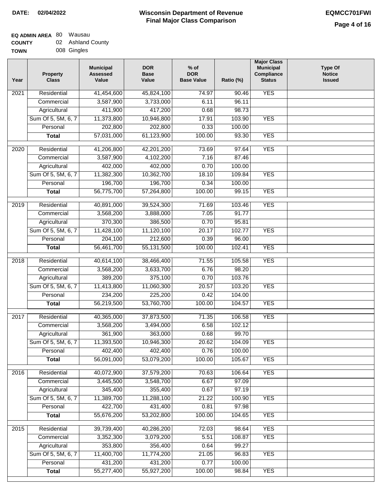## **EQ ADMIN AREA** 80 Wausau

| <b>COUNTY</b> | 02 Ashland County |
|---------------|-------------------|
| <b>TOWN</b>   | 008 Gingles       |

| Year              | <b>Property</b><br><b>Class</b> | <b>Municipal</b><br><b>Assessed</b><br>Value | <b>DOR</b><br><b>Base</b><br>Value | $%$ of<br><b>DOR</b><br><b>Base Value</b> | Ratio (%) | <b>Major Class</b><br><b>Municipal</b><br>Compliance<br><b>Status</b> | <b>Type Of</b><br><b>Notice</b><br><b>Issued</b> |
|-------------------|---------------------------------|----------------------------------------------|------------------------------------|-------------------------------------------|-----------|-----------------------------------------------------------------------|--------------------------------------------------|
| 2021              | Residential                     | 41,454,600                                   | 45,824,100                         | 74.97                                     | 90.46     | <b>YES</b>                                                            |                                                  |
|                   | Commercial                      | 3,587,900                                    | 3,733,000                          | 6.11                                      | 96.11     |                                                                       |                                                  |
|                   | Agricultural                    | 411,900                                      | 417,200                            | 0.68                                      | 98.73     |                                                                       |                                                  |
|                   | Sum Of 5, 5M, 6, 7              | 11,373,800                                   | 10,946,800                         | 17.91                                     | 103.90    | <b>YES</b>                                                            |                                                  |
|                   | Personal                        | 202,800                                      | 202,800                            | 0.33                                      | 100.00    |                                                                       |                                                  |
|                   | <b>Total</b>                    | 57,031,000                                   | 61,123,900                         | 100.00                                    | 93.30     | <b>YES</b>                                                            |                                                  |
| $\overline{2020}$ | Residential                     | 41,206,800                                   | 42,201,200                         | 73.69                                     | 97.64     | <b>YES</b>                                                            |                                                  |
|                   | Commercial                      | 3,587,900                                    | 4,102,200                          | 7.16                                      | 87.46     |                                                                       |                                                  |
|                   | Agricultural                    | 402,000                                      | 402,000                            | 0.70                                      | 100.00    |                                                                       |                                                  |
|                   | Sum Of 5, 5M, 6, 7              | 11,382,300                                   | 10,362,700                         | 18.10                                     | 109.84    | <b>YES</b>                                                            |                                                  |
|                   | Personal                        | 196,700                                      | 196,700                            | 0.34                                      | 100.00    |                                                                       |                                                  |
|                   | <b>Total</b>                    | 56,775,700                                   | 57,264,800                         | 100.00                                    | 99.15     | <b>YES</b>                                                            |                                                  |
| 2019              | Residential                     | 40,891,000                                   | 39,524,300                         | 71.69                                     | 103.46    | <b>YES</b>                                                            |                                                  |
|                   | Commercial                      | 3,568,200                                    | 3,888,000                          | 7.05                                      | 91.77     |                                                                       |                                                  |
|                   | Agricultural                    | 370,300                                      | 386,500                            | 0.70                                      | 95.81     |                                                                       |                                                  |
|                   | Sum Of 5, 5M, 6, 7              | 11,428,100                                   | 11,120,100                         | 20.17                                     | 102.77    | <b>YES</b>                                                            |                                                  |
|                   | Personal                        | 204,100                                      | 212,600                            | 0.39                                      | 96.00     |                                                                       |                                                  |
|                   | <b>Total</b>                    | 56,461,700                                   | 55,131,500                         | 100.00                                    | 102.41    | <b>YES</b>                                                            |                                                  |
| 2018              | Residential                     | 40,614,100                                   | 38,466,400                         | 71.55                                     | 105.58    | <b>YES</b>                                                            |                                                  |
|                   | Commercial                      | 3,568,200                                    | 3,633,700                          | 6.76                                      | 98.20     |                                                                       |                                                  |
|                   | Agricultural                    | 389,200                                      | 375,100                            | 0.70                                      | 103.76    |                                                                       |                                                  |
|                   | Sum Of 5, 5M, 6, 7              | 11,413,800                                   | 11,060,300                         | 20.57                                     | 103.20    | <b>YES</b>                                                            |                                                  |
|                   | Personal                        | 234,200                                      | 225,200                            | 0.42                                      | 104.00    |                                                                       |                                                  |
|                   | <b>Total</b>                    | 56,219,500                                   | 53,760,700                         | 100.00                                    | 104.57    | <b>YES</b>                                                            |                                                  |
| 2017              | Residential                     | 40,365,000                                   | 37,873,500                         | 71.35                                     | 106.58    | <b>YES</b>                                                            |                                                  |
|                   | Commercial                      | 3,568,200                                    | 3,494,000                          | 6.58                                      | 102.12    |                                                                       |                                                  |
|                   | Agricultural                    | 361,900                                      | 363,000                            | 0.68                                      | 99.70     |                                                                       |                                                  |
|                   | Sum Of 5, 5M, 6, 7              | 11,393,500                                   | 10,946,300                         | 20.62                                     | 104.09    | <b>YES</b>                                                            |                                                  |
|                   | Personal                        | 402,400                                      | 402,400                            | 0.76                                      | 100.00    |                                                                       |                                                  |
|                   | <b>Total</b>                    | 56,091,000                                   | 53,079,200                         | 100.00                                    | 105.67    | <b>YES</b>                                                            |                                                  |
| 2016              | Residential                     | 40,072,900                                   | 37,579,200                         | 70.63                                     | 106.64    | <b>YES</b>                                                            |                                                  |
|                   | Commercial                      | 3,445,500                                    | 3,548,700                          | 6.67                                      | 97.09     |                                                                       |                                                  |
|                   | Agricultural                    | 345,400                                      | 355,400                            | 0.67                                      | 97.19     |                                                                       |                                                  |
|                   | Sum Of 5, 5M, 6, 7              | 11,389,700                                   | 11,288,100                         | 21.22                                     | 100.90    | <b>YES</b>                                                            |                                                  |
|                   | Personal                        | 422,700                                      | 431,400                            | 0.81                                      | 97.98     |                                                                       |                                                  |
|                   | <b>Total</b>                    | 55,676,200                                   | 53,202,800                         | 100.00                                    | 104.65    | <b>YES</b>                                                            |                                                  |
| $\overline{2015}$ | Residential                     | 39,739,400                                   | 40,286,200                         | 72.03                                     | 98.64     | <b>YES</b>                                                            |                                                  |
|                   | Commercial                      | 3,352,300                                    | 3,079,200                          | 5.51                                      | 108.87    | <b>YES</b>                                                            |                                                  |
|                   | Agricultural                    | 353,800                                      | 356,400                            | 0.64                                      | 99.27     |                                                                       |                                                  |
|                   | Sum Of 5, 5M, 6, 7              | 11,400,700                                   | 11,774,200                         | 21.05                                     | 96.83     | <b>YES</b>                                                            |                                                  |
|                   | Personal                        | 431,200                                      | 431,200                            | 0.77                                      | 100.00    |                                                                       |                                                  |
|                   | <b>Total</b>                    | 55,277,400                                   | 55,927,200                         | 100.00                                    | 98.84     | <b>YES</b>                                                            |                                                  |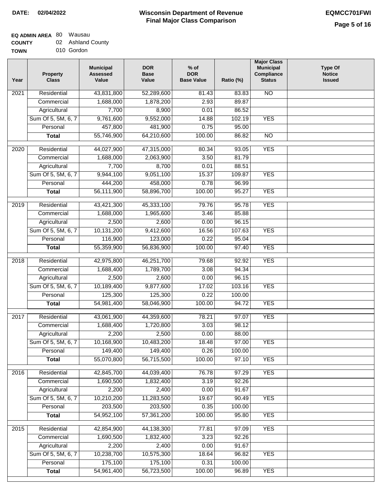## **EQ ADMIN AREA** 80 Wausau

| <b>COUNTY</b> | 02 Ashland County |
|---------------|-------------------|
|               |                   |

**TOWN** 010 Gordon

| Year | <b>Property</b><br><b>Class</b> | <b>Municipal</b><br><b>Assessed</b><br>Value | <b>DOR</b><br><b>Base</b><br>Value | $%$ of<br><b>DOR</b><br><b>Base Value</b> | Ratio (%) | <b>Major Class</b><br><b>Municipal</b><br>Compliance<br><b>Status</b> | <b>Type Of</b><br><b>Notice</b><br><b>Issued</b> |
|------|---------------------------------|----------------------------------------------|------------------------------------|-------------------------------------------|-----------|-----------------------------------------------------------------------|--------------------------------------------------|
| 2021 | Residential                     | 43,831,800                                   | 52,289,600                         | 81.43                                     | 83.83     | <b>NO</b>                                                             |                                                  |
|      | Commercial                      | 1,688,000                                    | 1,878,200                          | 2.93                                      | 89.87     |                                                                       |                                                  |
|      | Agricultural                    | 7,700                                        | 8,900                              | 0.01                                      | 86.52     |                                                                       |                                                  |
|      | Sum Of 5, 5M, 6, 7              | 9,761,600                                    | 9,552,000                          | 14.88                                     | 102.19    | <b>YES</b>                                                            |                                                  |
|      | Personal                        | 457,800                                      | 481,900                            | 0.75                                      | 95.00     |                                                                       |                                                  |
|      | <b>Total</b>                    | 55,746,900                                   | 64,210,600                         | 100.00                                    | 86.82     | $\overline{NO}$                                                       |                                                  |
| 2020 | Residential                     | 44,027,900                                   | 47,315,000                         | 80.34                                     | 93.05     | <b>YES</b>                                                            |                                                  |
|      | Commercial                      | 1,688,000                                    | 2,063,900                          | 3.50                                      | 81.79     |                                                                       |                                                  |
|      | Agricultural                    | 7,700                                        | 8,700                              | 0.01                                      | 88.51     |                                                                       |                                                  |
|      | Sum Of 5, 5M, 6, 7              | 9,944,100                                    | 9,051,100                          | 15.37                                     | 109.87    | <b>YES</b>                                                            |                                                  |
|      | Personal                        | 444,200                                      | 458,000                            | 0.78                                      | 96.99     |                                                                       |                                                  |
|      | <b>Total</b>                    | 56,111,900                                   | 58,896,700                         | 100.00                                    | 95.27     | <b>YES</b>                                                            |                                                  |
| 2019 | Residential                     | 43,421,300                                   | 45,333,100                         | 79.76                                     | 95.78     | <b>YES</b>                                                            |                                                  |
|      | Commercial                      | 1,688,000                                    | 1,965,600                          | 3.46                                      | 85.88     |                                                                       |                                                  |
|      | Agricultural                    | 2,500                                        | 2,600                              | 0.00                                      | 96.15     |                                                                       |                                                  |
|      | Sum Of 5, 5M, 6, 7              | 10,131,200                                   | 9,412,600                          | 16.56                                     | 107.63    | <b>YES</b>                                                            |                                                  |
|      | Personal                        | 116,900                                      | 123,000                            | 0.22                                      | 95.04     |                                                                       |                                                  |
|      | <b>Total</b>                    | 55,359,900                                   | 56,836,900                         | 100.00                                    | 97.40     | <b>YES</b>                                                            |                                                  |
| 2018 | Residential                     | 42,975,800                                   | 46,251,700                         | 79.68                                     | 92.92     | <b>YES</b>                                                            |                                                  |
|      | Commercial                      | 1,688,400                                    | 1,789,700                          | 3.08                                      | 94.34     |                                                                       |                                                  |
|      | Agricultural                    | 2,500                                        | 2,600                              | 0.00                                      | 96.15     |                                                                       |                                                  |
|      | Sum Of 5, 5M, 6, 7              | 10,189,400                                   | 9,877,600                          | 17.02                                     | 103.16    | <b>YES</b>                                                            |                                                  |
|      | Personal                        | 125,300                                      | 125,300                            | 0.22                                      | 100.00    |                                                                       |                                                  |
|      | <b>Total</b>                    | 54,981,400                                   | 58,046,900                         | 100.00                                    | 94.72     | <b>YES</b>                                                            |                                                  |
|      |                                 |                                              |                                    |                                           |           |                                                                       |                                                  |
| 2017 | Residential                     | 43,061,900                                   | 44,359,600                         | 78.21                                     | 97.07     | <b>YES</b>                                                            |                                                  |
|      | Commercial                      | 1,688,400                                    | 1,720,800                          | 3.03                                      | 98.12     |                                                                       |                                                  |
|      | Agricultural                    | 2,200                                        | 2,500                              | 0.00                                      | 88.00     |                                                                       |                                                  |
|      | Sum Of 5, 5M, 6, 7              | 10,168,900                                   | 10,483,200                         | 18.48                                     | 97.00     | <b>YES</b>                                                            |                                                  |
|      | Personal                        | 149,400                                      | 149,400                            | 0.26                                      | 100.00    |                                                                       |                                                  |
|      | <b>Total</b>                    | 55,070,800                                   | 56,715,500                         | 100.00                                    | 97.10     | <b>YES</b>                                                            |                                                  |
| 2016 | Residential                     | 42,845,700                                   | 44,039,400                         | 76.78                                     | 97.29     | <b>YES</b>                                                            |                                                  |
|      | Commercial                      | 1,690,500                                    | 1,832,400                          | 3.19                                      | 92.26     |                                                                       |                                                  |
|      | Agricultural                    | 2,200                                        | 2,400                              | 0.00                                      | 91.67     |                                                                       |                                                  |
|      | Sum Of 5, 5M, 6, 7              | 10,210,200                                   | 11,283,500                         | 19.67                                     | 90.49     | <b>YES</b>                                                            |                                                  |
|      | Personal                        | 203,500                                      | 203,500                            | 0.35                                      | 100.00    |                                                                       |                                                  |
|      | <b>Total</b>                    | 54,952,100                                   | 57,361,200                         | 100.00                                    | 95.80     | <b>YES</b>                                                            |                                                  |
| 2015 | Residential                     | 42,854,900                                   | 44,138,300                         | 77.81                                     | 97.09     | <b>YES</b>                                                            |                                                  |
|      | Commercial                      | 1,690,500                                    | 1,832,400                          | 3.23                                      | 92.26     |                                                                       |                                                  |
|      | Agricultural                    | 2,200                                        | 2,400                              | 0.00                                      | 91.67     |                                                                       |                                                  |
|      | Sum Of 5, 5M, 6, 7              | 10,238,700                                   | 10,575,300                         | 18.64                                     | 96.82     | <b>YES</b>                                                            |                                                  |
|      | Personal                        | 175,100                                      | 175,100                            | 0.31                                      | 100.00    |                                                                       |                                                  |
|      | <b>Total</b>                    | 54,961,400                                   | 56,723,500                         | 100.00                                    | 96.89     | <b>YES</b>                                                            |                                                  |
|      |                                 |                                              |                                    |                                           |           |                                                                       |                                                  |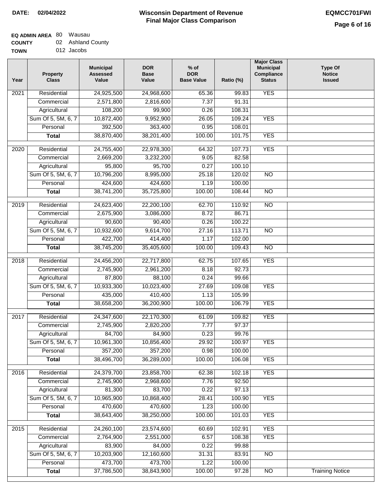# **Wisconsin Department of Revenue Final Major Class Comparison DATE: 02/04/2022 EQMCC701FWI**

#### **EQ ADMIN AREA** 80 Wausau **COUNTY** 02 Ashland County

| <b>UUUNII</b> | AJHAHU VUU |
|---------------|------------|
| <b>TOWN</b>   | 012 Jacobs |

| Year             | <b>Property</b><br><b>Class</b> | <b>Municipal</b><br><b>Assessed</b><br>Value | <b>DOR</b><br><b>Base</b><br>Value | $%$ of<br><b>DOR</b><br><b>Base Value</b> | Ratio (%) | <b>Major Class</b><br><b>Municipal</b><br>Compliance<br><b>Status</b> | <b>Type Of</b><br><b>Notice</b><br><b>Issued</b> |
|------------------|---------------------------------|----------------------------------------------|------------------------------------|-------------------------------------------|-----------|-----------------------------------------------------------------------|--------------------------------------------------|
| 2021             | Residential                     | 24,925,500                                   | 24,968,600                         | 65.36                                     | 99.83     | <b>YES</b>                                                            |                                                  |
|                  | Commercial                      | 2,571,800                                    | 2,816,600                          | 7.37                                      | 91.31     |                                                                       |                                                  |
|                  | Agricultural                    | 108,200                                      | 99,900                             | 0.26                                      | 108.31    |                                                                       |                                                  |
|                  | Sum Of 5, 5M, 6, 7              | 10,872,400                                   | 9,952,900                          | 26.05                                     | 109.24    | <b>YES</b>                                                            |                                                  |
|                  | Personal                        | 392,500                                      | 363,400                            | 0.95                                      | 108.01    |                                                                       |                                                  |
|                  | <b>Total</b>                    | 38,870,400                                   | 38,201,400                         | 100.00                                    | 101.75    | <b>YES</b>                                                            |                                                  |
| $\frac{1}{2020}$ | Residential                     | 24,755,400                                   | 22,978,300                         | 64.32                                     | 107.73    | <b>YES</b>                                                            |                                                  |
|                  | Commercial                      | 2,669,200                                    | 3,232,200                          | 9.05                                      | 82.58     |                                                                       |                                                  |
|                  | Agricultural                    | 95,800                                       | 95,700                             | 0.27                                      | 100.10    |                                                                       |                                                  |
|                  | Sum Of 5, 5M, 6, 7              | 10,796,200                                   | 8,995,000                          | 25.18                                     | 120.02    | <b>NO</b>                                                             |                                                  |
|                  | Personal                        | 424,600                                      | 424,600                            | 1.19                                      | 100.00    |                                                                       |                                                  |
|                  | <b>Total</b>                    | 38,741,200                                   | 35,725,800                         | 100.00                                    | 108.44    | $\overline{NO}$                                                       |                                                  |
|                  |                                 |                                              |                                    |                                           |           |                                                                       |                                                  |
| $\frac{1}{2019}$ | Residential                     | 24,623,400                                   | 22,200,100                         | 62.70                                     | 110.92    | $\overline{NO}$                                                       |                                                  |
|                  | Commercial                      | 2,675,900                                    | 3,086,000                          | 8.72                                      | 86.71     |                                                                       |                                                  |
|                  | Agricultural                    | 90,600                                       | 90,400                             | 0.26                                      | 100.22    |                                                                       |                                                  |
|                  | Sum Of 5, 5M, 6, 7              | 10,932,600                                   | 9,614,700                          | 27.16                                     | 113.71    | $\overline{NO}$                                                       |                                                  |
|                  | Personal                        | 422,700                                      | 414,400                            | 1.17                                      | 102.00    |                                                                       |                                                  |
|                  | <b>Total</b>                    | 38,745,200                                   | 35,405,600                         | 100.00                                    | 109.43    | $\overline{NO}$                                                       |                                                  |
| 2018             | Residential                     | 24,456,200                                   | 22,717,800                         | 62.75                                     | 107.65    | <b>YES</b>                                                            |                                                  |
|                  | Commercial                      | 2,745,900                                    | 2,961,200                          | 8.18                                      | 92.73     |                                                                       |                                                  |
|                  | Agricultural                    | 87,800                                       | 88,100                             | 0.24                                      | 99.66     |                                                                       |                                                  |
|                  | Sum Of 5, 5M, 6, 7              | 10,933,300                                   | 10,023,400                         | 27.69                                     | 109.08    | <b>YES</b>                                                            |                                                  |
|                  | Personal                        | 435,000                                      | 410,400                            | 1.13                                      | 105.99    |                                                                       |                                                  |
|                  | <b>Total</b>                    | 38,658,200                                   | 36,200,900                         | 100.00                                    | 106.79    | <b>YES</b>                                                            |                                                  |
| 2017             | Residential                     | 24,347,600                                   | 22,170,300                         | 61.09                                     | 109.82    | <b>YES</b>                                                            |                                                  |
|                  | Commercial                      | 2,745,900                                    | 2,820,200                          | 7.77                                      | 97.37     |                                                                       |                                                  |
|                  | Agricultural                    | 84,700                                       | 84,900                             | 0.23                                      | 99.76     |                                                                       |                                                  |
|                  | Sum Of 5, 5M, 6, 7              | 10,961,300                                   | 10,856,400                         | 29.92                                     | 100.97    | <b>YES</b>                                                            |                                                  |
|                  | Personal                        | 357,200                                      | 357,200                            | 0.98                                      | 100.00    |                                                                       |                                                  |
|                  | <b>Total</b>                    | 38,496,700                                   | 36,289,000                         | 100.00                                    | 106.08    | <b>YES</b>                                                            |                                                  |
| 2016             | Residential                     | 24,379,700                                   | 23,858,700                         | 62.38                                     | 102.18    | <b>YES</b>                                                            |                                                  |
|                  | Commercial                      | 2,745,900                                    | 2,968,600                          | 7.76                                      | 92.50     |                                                                       |                                                  |
|                  | Agricultural                    | 81,300                                       | 83,700                             | 0.22                                      | 97.13     |                                                                       |                                                  |
|                  | Sum Of 5, 5M, 6, 7              | 10,965,900                                   | 10,868,400                         | 28.41                                     | 100.90    | <b>YES</b>                                                            |                                                  |
|                  | Personal                        | 470,600                                      | 470,600                            | 1.23                                      | 100.00    |                                                                       |                                                  |
|                  | <b>Total</b>                    | 38,643,400                                   | 38,250,000                         | 100.00                                    | 101.03    | <b>YES</b>                                                            |                                                  |
| 2015             | Residential                     | 24,260,100                                   | 23,574,600                         | 60.69                                     | 102.91    | <b>YES</b>                                                            |                                                  |
|                  | Commercial                      | 2,764,900                                    | 2,551,000                          | 6.57                                      | 108.38    | <b>YES</b>                                                            |                                                  |
|                  | Agricultural                    | 83,900                                       | 84,000                             | 0.22                                      | 99.88     |                                                                       |                                                  |
|                  | Sum Of 5, 5M, 6, 7              | 10,203,900                                   | 12,160,600                         | 31.31                                     | 83.91     | $\overline{NO}$                                                       |                                                  |
|                  | Personal                        | 473,700                                      | 473,700                            | 1.22                                      | 100.00    |                                                                       |                                                  |
|                  | <b>Total</b>                    | 37,786,500                                   | 38,843,900                         | 100.00                                    | 97.28     | $\overline{NO}$                                                       | <b>Training Notice</b>                           |
|                  |                                 |                                              |                                    |                                           |           |                                                                       |                                                  |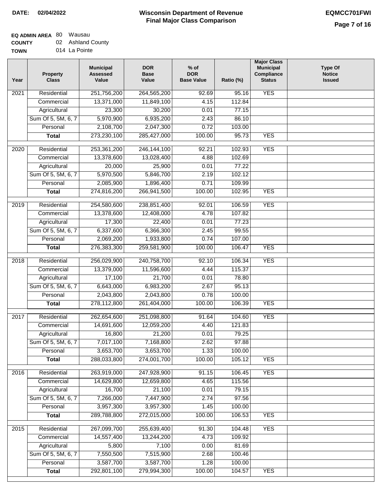# **EQ ADMIN AREA** 80 Wausau

**COUNTY TOWN** 02 Ashland County 014 La Pointe

| Year              | <b>Property</b><br><b>Class</b> | <b>Municipal</b><br><b>Assessed</b><br>Value | <b>DOR</b><br><b>Base</b><br>Value | $%$ of<br><b>DOR</b><br><b>Base Value</b> | Ratio (%) | <b>Major Class</b><br><b>Municipal</b><br>Compliance<br><b>Status</b> | <b>Type Of</b><br><b>Notice</b><br><b>Issued</b> |
|-------------------|---------------------------------|----------------------------------------------|------------------------------------|-------------------------------------------|-----------|-----------------------------------------------------------------------|--------------------------------------------------|
| 2021              | Residential                     | 251,756,200                                  | 264,565,200                        | 92.69                                     | 95.16     | <b>YES</b>                                                            |                                                  |
|                   | Commercial                      | 13,371,000                                   | 11,849,100                         | 4.15                                      | 112.84    |                                                                       |                                                  |
|                   | Agricultural                    | 23,300                                       | 30,200                             | 0.01                                      | 77.15     |                                                                       |                                                  |
|                   | Sum Of 5, 5M, 6, 7              | 5,970,900                                    | 6,935,200                          | 2.43                                      | 86.10     |                                                                       |                                                  |
|                   | Personal                        | 2,108,700                                    | 2,047,300                          | 0.72                                      | 103.00    |                                                                       |                                                  |
|                   | <b>Total</b>                    | 273,230,100                                  | 285,427,000                        | 100.00                                    | 95.73     | <b>YES</b>                                                            |                                                  |
|                   |                                 |                                              |                                    |                                           |           |                                                                       |                                                  |
| $\overline{2020}$ | Residential                     | 253,361,200                                  | 246, 144, 100                      | 92.21                                     | 102.93    | <b>YES</b>                                                            |                                                  |
|                   | Commercial                      | 13,378,600                                   | 13,028,400                         | 4.88                                      | 102.69    |                                                                       |                                                  |
|                   | Agricultural                    | 20,000                                       | 25,900                             | 0.01                                      | 77.22     |                                                                       |                                                  |
|                   | Sum Of 5, 5M, 6, 7              | 5,970,500                                    | 5,846,700                          | 2.19                                      | 102.12    |                                                                       |                                                  |
|                   | Personal                        | 2,085,900                                    | 1,896,400                          | 0.71                                      | 109.99    |                                                                       |                                                  |
|                   | <b>Total</b>                    | 274,816,200                                  | 266,941,500                        | 100.00                                    | 102.95    | <b>YES</b>                                                            |                                                  |
| 2019              | Residential                     | 254,580,600                                  | 238,851,400                        | 92.01                                     | 106.59    | <b>YES</b>                                                            |                                                  |
|                   | Commercial                      | 13,378,600                                   | 12,408,000                         | 4.78                                      | 107.82    |                                                                       |                                                  |
|                   | Agricultural                    | 17,300                                       | 22,400                             | 0.01                                      | 77.23     |                                                                       |                                                  |
|                   | Sum Of 5, 5M, 6, 7              | 6,337,600                                    | 6,366,300                          | 2.45                                      | 99.55     |                                                                       |                                                  |
|                   | Personal                        | 2,069,200                                    | 1,933,800                          | 0.74                                      | 107.00    |                                                                       |                                                  |
|                   | <b>Total</b>                    | 276,383,300                                  | 259,581,900                        | 100.00                                    | 106.47    | <b>YES</b>                                                            |                                                  |
| 2018              | Residential                     | 256,029,900                                  | 240,758,700                        | 92.10                                     | 106.34    | <b>YES</b>                                                            |                                                  |
|                   | Commercial                      | 13,379,000                                   | 11,596,600                         | 4.44                                      | 115.37    |                                                                       |                                                  |
|                   | Agricultural                    | 17,100                                       | 21,700                             | 0.01                                      | 78.80     |                                                                       |                                                  |
|                   | Sum Of 5, 5M, 6, 7              | 6,643,000                                    | 6,983,200                          | 2.67                                      | 95.13     |                                                                       |                                                  |
|                   | Personal                        | 2,043,800                                    | 2,043,800                          | 0.78                                      | 100.00    |                                                                       |                                                  |
|                   | <b>Total</b>                    | 278,112,800                                  | 261,404,000                        | 100.00                                    | 106.39    | <b>YES</b>                                                            |                                                  |
| 2017              | Residential                     | 262,654,600                                  | 251,098,800                        | 91.64                                     | 104.60    | <b>YES</b>                                                            |                                                  |
|                   | Commercial                      | 14,691,600                                   | 12,059,200                         | 4.40                                      | 121.83    |                                                                       |                                                  |
|                   | Agricultural                    | 16,800                                       | 21,200                             | 0.01                                      | 79.25     |                                                                       |                                                  |
|                   | Sum Of 5, 5M, 6, 7              | 7,017,100                                    | 7,168,800                          | 2.62                                      | 97.88     |                                                                       |                                                  |
|                   | Personal                        | 3,653,700                                    | 3,653,700                          | 1.33                                      | 100.00    |                                                                       |                                                  |
|                   | <b>Total</b>                    | 288,033,800                                  | 274,001,700                        | 100.00                                    | 105.12    | <b>YES</b>                                                            |                                                  |
|                   |                                 |                                              |                                    |                                           |           |                                                                       |                                                  |
| 2016              | Residential                     | 263,919,000                                  | 247,928,900                        | 91.15                                     | 106.45    | <b>YES</b>                                                            |                                                  |
|                   | Commercial                      | 14,629,800                                   | 12,659,800                         | 4.65                                      | 115.56    |                                                                       |                                                  |
|                   | Agricultural                    | 16,700                                       | 21,100                             | 0.01                                      | 79.15     |                                                                       |                                                  |
|                   | Sum Of 5, 5M, 6, 7              | 7,266,000                                    | 7,447,900                          | 2.74                                      | 97.56     |                                                                       |                                                  |
|                   | Personal                        | 3,957,300                                    | 3,957,300                          | 1.45                                      | 100.00    |                                                                       |                                                  |
|                   | <b>Total</b>                    | 289,788,800                                  | 272,015,000                        | 100.00                                    | 106.53    | <b>YES</b>                                                            |                                                  |
| 2015              | Residential                     | 267,099,700                                  | 255,639,400                        | 91.30                                     | 104.48    | <b>YES</b>                                                            |                                                  |
|                   | Commercial                      | 14,557,400                                   | 13,244,200                         | 4.73                                      | 109.92    |                                                                       |                                                  |
|                   | Agricultural                    | 5,800                                        | 7,100                              | 0.00                                      | 81.69     |                                                                       |                                                  |
|                   | Sum Of 5, 5M, 6, 7              | 7,550,500                                    | 7,515,900                          | 2.68                                      | 100.46    |                                                                       |                                                  |
|                   | Personal                        | 3,587,700                                    | 3,587,700                          | 1.28                                      | 100.00    |                                                                       |                                                  |
|                   | <b>Total</b>                    | 292,801,100                                  | 279,994,300                        | 100.00                                    | 104.57    | <b>YES</b>                                                            |                                                  |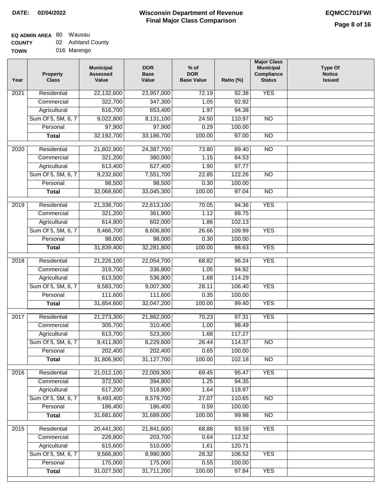# **Wisconsin Department of Revenue Final Major Class Comparison DATE: 02/04/2022 EQMCC701FWI**

## **EQ ADMIN AREA** 80 Wausau

| <b>COUNTY</b> | 02 Ashland County |
|---------------|-------------------|
| TOWN          | 016 Marengo       |

| Year | Property<br><b>Class</b> | <b>Municipal</b><br><b>Assessed</b><br>Value | <b>DOR</b><br><b>Base</b><br>Value | $%$ of<br><b>DOR</b><br><b>Base Value</b> | Ratio (%) | <b>Major Class</b><br><b>Municipal</b><br>Compliance<br><b>Status</b> | <b>Type Of</b><br><b>Notice</b><br><b>Issued</b> |
|------|--------------------------|----------------------------------------------|------------------------------------|-------------------------------------------|-----------|-----------------------------------------------------------------------|--------------------------------------------------|
| 2021 | Residential              | 22,132,600                                   | 23,957,000                         | 72.19                                     | 92.38     | <b>YES</b>                                                            |                                                  |
|      | Commercial               | 322,700                                      | 347,300                            | 1.05                                      | 92.92     |                                                                       |                                                  |
|      | Agricultural             | 616,700                                      | 653,400                            | 1.97                                      | 94.38     |                                                                       |                                                  |
|      | Sum Of 5, 5M, 6, 7       | 9,022,800                                    | 8,131,100                          | 24.50                                     | 110.97    | <b>NO</b>                                                             |                                                  |
|      | Personal                 | 97,900                                       | 97,900                             | 0.29                                      | 100.00    |                                                                       |                                                  |
|      | <b>Total</b>             | 32,192,700                                   | 33,186,700                         | 100.00                                    | 97.00     | $\overline{NO}$                                                       |                                                  |
| 2020 | Residential              | 21,802,900                                   | 24,387,700                         | 73.80                                     | 89.40     | $\overline{NO}$                                                       |                                                  |
|      | Commercial               | 321,200                                      | 380,000                            | 1.15                                      | 84.53     |                                                                       |                                                  |
|      | Agricultural             | 613,400                                      | 627,400                            | 1.90                                      | 97.77     |                                                                       |                                                  |
|      | Sum Of 5, 5M, 6, 7       | 9,232,600                                    | 7,551,700                          | 22.85                                     | 122.26    | $\overline{NO}$                                                       |                                                  |
|      | Personal                 | 98,500                                       | 98,500                             | 0.30                                      | 100.00    |                                                                       |                                                  |
|      | <b>Total</b>             | 32,068,600                                   | 33,045,300                         | 100.00                                    | 97.04     | $\overline{NO}$                                                       |                                                  |
| 2019 | Residential              | 21,338,700                                   | 22,613,100                         | 70.05                                     | 94.36     | <b>YES</b>                                                            |                                                  |
|      | Commercial               | 321,200                                      | 361,900                            | 1.12                                      | 88.75     |                                                                       |                                                  |
|      | Agricultural             | 614,800                                      | 602,000                            | 1.86                                      | 102.13    |                                                                       |                                                  |
|      | Sum Of 5, 5M, 6, 7       | 9,466,700                                    | 8,606,800                          | 26.66                                     | 109.99    | <b>YES</b>                                                            |                                                  |
|      | Personal                 | 98,000                                       | 98,000                             | 0.30                                      | 100.00    |                                                                       |                                                  |
|      | <b>Total</b>             | 31,839,400                                   | 32,281,800                         | 100.00                                    | 98.63     | <b>YES</b>                                                            |                                                  |
|      |                          |                                              |                                    |                                           |           |                                                                       |                                                  |
| 2018 | Residential              | 21,226,100                                   | 22,054,700                         | 68.82                                     | 96.24     | <b>YES</b>                                                            |                                                  |
|      | Commercial               | 319,700                                      | 336,800                            | 1.05                                      | 94.92     |                                                                       |                                                  |
|      | Agricultural             | 613,500                                      | 536,800                            | 1.68                                      | 114.29    |                                                                       |                                                  |
|      | Sum Of 5, 5M, 6, 7       | 9,583,700                                    | 9,007,300                          | 28.11                                     | 106.40    | <b>YES</b>                                                            |                                                  |
|      | Personal                 | 111,600                                      | 111,600                            | 0.35                                      | 100.00    |                                                                       |                                                  |
|      | <b>Total</b>             | 31,854,600                                   | 32,047,200                         | 100.00                                    | 99.40     | <b>YES</b>                                                            |                                                  |
| 2017 | Residential              | 21,273,300                                   | 21,862,000                         | 70.23                                     | 97.31     | <b>YES</b>                                                            |                                                  |
|      | Commercial               | 305,700                                      | 310,400                            | 1.00                                      | 98.49     |                                                                       |                                                  |
|      | Agricultural             | 613,700                                      | 523,300                            | 1.68                                      | 117.27    |                                                                       |                                                  |
|      | Sum Of 5, 5M, 6, 7       | 9,411,800                                    | 8,229,600                          | 26.44                                     | 114.37    | $\overline{N}$                                                        |                                                  |
|      | Personal                 | 202,400                                      | 202,400                            | 0.65                                      | 100.00    |                                                                       |                                                  |
|      | <b>Total</b>             | 31,806,900                                   | 31, 127, 700                       | 100.00                                    | 102.18    | $\overline{NO}$                                                       |                                                  |
| 2016 | Residential              | 21,012,100                                   | 22,009,300                         | 69.45                                     | 95.47     | <b>YES</b>                                                            |                                                  |
|      | Commercial               | 372,500                                      | 394,800                            | 1.25                                      | 94.35     |                                                                       |                                                  |
|      | Agricultural             | 617,200                                      | 518,800                            | 1.64                                      | 118.97    |                                                                       |                                                  |
|      | Sum Of 5, 5M, 6, 7       | 9,493,400                                    | 8,579,700                          | 27.07                                     | 110.65    | N <sub>O</sub>                                                        |                                                  |
|      | Personal                 | 186,400                                      | 186,400                            | 0.59                                      | 100.00    |                                                                       |                                                  |
|      | <b>Total</b>             | 31,681,600                                   | 31,689,000                         | 100.00                                    | 99.98     | N <sub>O</sub>                                                        |                                                  |
| 2015 | Residential              | 20,441,300                                   | 21,841,600                         | 68.88                                     | 93.59     | <b>YES</b>                                                            |                                                  |
|      | Commercial               | 228,800                                      | 203,700                            | 0.64                                      | 112.32    |                                                                       |                                                  |
|      | Agricultural             | 615,600                                      | 510,000                            | 1.61                                      | 120.71    |                                                                       |                                                  |
|      | Sum Of 5, 5M, 6, 7       | 9,566,800                                    | 8,980,900                          | 28.32                                     | 106.52    | <b>YES</b>                                                            |                                                  |
|      | Personal                 | 175,000                                      | 175,000                            | 0.55                                      | 100.00    |                                                                       |                                                  |
|      | <b>Total</b>             | 31,027,500                                   | 31,711,200                         | 100.00                                    | 97.84     | <b>YES</b>                                                            |                                                  |
|      |                          |                                              |                                    |                                           |           |                                                                       |                                                  |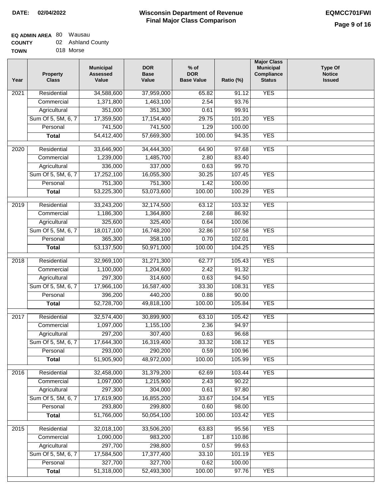# **EQ ADMIN AREA** 80 Wausau **COUNTY**

| <b>COUNTY</b> | 02 Ashland County |
|---------------|-------------------|
| <b>TOWN</b>   | 018 Morse         |

| Year              | <b>Property</b><br><b>Class</b>    | <b>Municipal</b><br><b>Assessed</b><br>Value | <b>DOR</b><br><b>Base</b><br>Value | $%$ of<br><b>DOR</b><br><b>Base Value</b> | Ratio (%)      | <b>Major Class</b><br><b>Municipal</b><br>Compliance<br><b>Status</b> | <b>Type Of</b><br><b>Notice</b><br><b>Issued</b> |
|-------------------|------------------------------------|----------------------------------------------|------------------------------------|-------------------------------------------|----------------|-----------------------------------------------------------------------|--------------------------------------------------|
| 2021              | Residential                        | 34,588,600                                   | 37,959,000                         | 65.82                                     | 91.12          | <b>YES</b>                                                            |                                                  |
|                   | Commercial                         | 1,371,800                                    | 1,463,100                          | 2.54                                      | 93.76          |                                                                       |                                                  |
|                   | Agricultural                       | 351,000                                      | 351,300                            | 0.61                                      | 99.91          |                                                                       |                                                  |
|                   | Sum Of 5, 5M, 6, 7                 | 17,359,500                                   | 17, 154, 400                       | 29.75                                     | 101.20         | <b>YES</b>                                                            |                                                  |
|                   | Personal                           | 741,500                                      | 741,500                            | 1.29                                      | 100.00         |                                                                       |                                                  |
|                   | <b>Total</b>                       | 54,412,400                                   | 57,669,300                         | 100.00                                    | 94.35          | <b>YES</b>                                                            |                                                  |
| 2020              | Residential                        | 33,646,900                                   | 34,444,300                         | 64.90                                     | 97.68          | <b>YES</b>                                                            |                                                  |
|                   | Commercial                         | 1,239,000                                    | 1,485,700                          | 2.80                                      | 83.40          |                                                                       |                                                  |
|                   | Agricultural                       | 336,000                                      | 337,000                            | 0.63                                      | 99.70          |                                                                       |                                                  |
|                   | Sum Of 5, 5M, 6, 7                 | 17,252,100                                   | 16,055,300                         | 30.25                                     | 107.45         | <b>YES</b>                                                            |                                                  |
|                   | Personal                           | 751,300                                      | 751,300                            | 1.42                                      | 100.00         |                                                                       |                                                  |
|                   | <b>Total</b>                       | 53,225,300                                   | 53,073,600                         | 100.00                                    | 100.29         | <b>YES</b>                                                            |                                                  |
| 2019              | Residential                        | 33,243,200                                   | 32,174,500                         | 63.12                                     | 103.32         | <b>YES</b>                                                            |                                                  |
|                   | Commercial                         | 1,186,300                                    | 1,364,800                          | 2.68                                      | 86.92          |                                                                       |                                                  |
|                   | Agricultural                       | 325,600                                      | 325,400                            | 0.64                                      | 100.06         |                                                                       |                                                  |
|                   | Sum Of 5, 5M, 6, 7                 | 18,017,100                                   | 16,748,200                         | 32.86                                     | 107.58         | <b>YES</b>                                                            |                                                  |
|                   | Personal                           | 365,300                                      | 358,100                            | 0.70                                      | 102.01         |                                                                       |                                                  |
|                   | <b>Total</b>                       | 53,137,500                                   | 50,971,000                         | 100.00                                    | 104.25         | <b>YES</b>                                                            |                                                  |
|                   |                                    |                                              |                                    |                                           |                |                                                                       |                                                  |
| $\overline{2018}$ | Residential                        | 32,969,100                                   | 31,271,300                         | 62.77                                     | 105.43         | <b>YES</b>                                                            |                                                  |
|                   | Commercial                         | 1,100,000<br>297,300                         | 1,204,600<br>314,600               | 2.42                                      | 91.32<br>94.50 |                                                                       |                                                  |
|                   | Agricultural<br>Sum Of 5, 5M, 6, 7 | 17,966,100                                   | 16,587,400                         | 0.63<br>33.30                             | 108.31         | <b>YES</b>                                                            |                                                  |
|                   | Personal                           | 396,200                                      | 440,200                            | 0.88                                      | 90.00          |                                                                       |                                                  |
|                   | <b>Total</b>                       | 52,728,700                                   | 49,818,100                         | 100.00                                    | 105.84         | <b>YES</b>                                                            |                                                  |
|                   |                                    |                                              |                                    |                                           |                |                                                                       |                                                  |
| 2017              | Residential                        | 32,574,400                                   | 30,899,900                         | 63.10                                     | 105.42         | <b>YES</b>                                                            |                                                  |
|                   | Commercial                         | 1,097,000                                    | 1,155,100                          | 2.36                                      | 94.97          |                                                                       |                                                  |
|                   | Agricultural                       | 297,200                                      | 307,400                            | 0.63                                      | 96.68          |                                                                       |                                                  |
|                   | Sum Of 5, 5M, 6, 7                 | 17,644,300                                   | 16,319,400                         | 33.32                                     | 108.12         | <b>YES</b>                                                            |                                                  |
|                   | Personal                           | 293,000                                      | 290,200                            | 0.59                                      | 100.96         |                                                                       |                                                  |
|                   | <b>Total</b>                       | 51,905,900                                   | 48,972,000                         | 100.00                                    | 105.99         | <b>YES</b>                                                            |                                                  |
| 2016              | Residential                        | 32,458,000                                   | 31,379,200                         | 62.69                                     | 103.44         | <b>YES</b>                                                            |                                                  |
|                   | Commercial                         | 1,097,000                                    | 1,215,900                          | 2.43                                      | 90.22          |                                                                       |                                                  |
|                   | Agricultural                       | 297,300                                      | 304,000                            | 0.61                                      | 97.80          |                                                                       |                                                  |
|                   | Sum Of 5, 5M, 6, 7                 | 17,619,900                                   | 16,855,200                         | 33.67                                     | 104.54         | <b>YES</b>                                                            |                                                  |
|                   | Personal                           | 293,800                                      | 299,800                            | 0.60                                      | 98.00          |                                                                       |                                                  |
|                   | <b>Total</b>                       | 51,766,000                                   | 50,054,100                         | 100.00                                    | 103.42         | <b>YES</b>                                                            |                                                  |
| 2015              | Residential                        | 32,018,100                                   | 33,506,200                         | 63.83                                     | 95.56          | <b>YES</b>                                                            |                                                  |
|                   | Commercial                         | 1,090,000                                    | 983,200                            | 1.87                                      | 110.86         |                                                                       |                                                  |
|                   | Agricultural                       | 297,700                                      | 298,800                            | 0.57                                      | 99.63          |                                                                       |                                                  |
|                   | Sum Of 5, 5M, 6, 7                 | 17,584,500                                   | 17,377,400                         | 33.10                                     | 101.19         | <b>YES</b>                                                            |                                                  |
|                   | Personal                           | 327,700                                      | 327,700                            | 0.62                                      | 100.00         |                                                                       |                                                  |
|                   | <b>Total</b>                       | 51,318,000                                   | 52,493,300                         | 100.00                                    | 97.76          | <b>YES</b>                                                            |                                                  |
|                   |                                    |                                              |                                    |                                           |                |                                                                       |                                                  |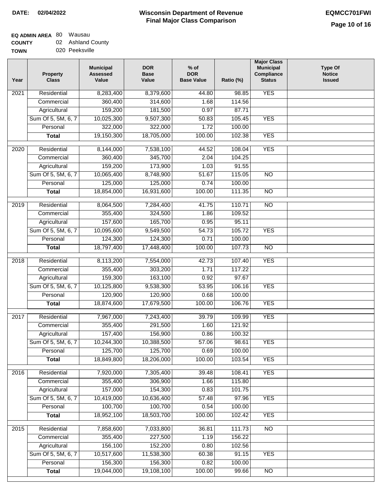# **EQ ADMIN AREA** 80 Wausau

**COUNTY TOWN** 02 Ashland County

|  | 020 Peeksville |
|--|----------------|
|  |                |

| Year              | <b>Property</b><br><b>Class</b> | <b>Municipal</b><br><b>Assessed</b><br>Value | <b>DOR</b><br>Base<br>Value | $%$ of<br><b>DOR</b><br><b>Base Value</b> | Ratio (%)       | <b>Major Class</b><br><b>Municipal</b><br>Compliance<br><b>Status</b> | <b>Type Of</b><br><b>Notice</b><br><b>Issued</b> |
|-------------------|---------------------------------|----------------------------------------------|-----------------------------|-------------------------------------------|-----------------|-----------------------------------------------------------------------|--------------------------------------------------|
| $\overline{202}1$ | Residential                     | 8,283,400                                    | 8,379,600                   | 44.80                                     | 98.85           | <b>YES</b>                                                            |                                                  |
|                   | Commercial                      | 360,400                                      | 314,600                     | 1.68                                      | 114.56          |                                                                       |                                                  |
|                   | Agricultural                    | 159,200                                      | 181,500                     | 0.97                                      | 87.71           |                                                                       |                                                  |
|                   | Sum Of 5, 5M, 6, 7              | 10,025,300                                   | 9,507,300                   | 50.83                                     | 105.45          | <b>YES</b>                                                            |                                                  |
|                   | Personal                        | 322,000                                      | 322,000                     | 1.72                                      | 100.00          |                                                                       |                                                  |
|                   | <b>Total</b>                    | 19,150,300                                   | 18,705,000                  | 100.00                                    | 102.38          | <b>YES</b>                                                            |                                                  |
| $\overline{2020}$ | Residential                     | 8,144,000                                    | 7,538,100                   | 44.52                                     | 108.04          | <b>YES</b>                                                            |                                                  |
|                   | Commercial                      | 360,400                                      | 345,700                     | 2.04                                      | 104.25          |                                                                       |                                                  |
|                   | Agricultural                    | 159,200                                      | 173,900                     | 1.03                                      | 91.55           |                                                                       |                                                  |
|                   | Sum Of 5, 5M, 6, 7              | 10,065,400                                   | 8,748,900                   | 51.67                                     | 115.05          | $\overline{NO}$                                                       |                                                  |
|                   | Personal                        | 125,000                                      | 125,000                     | 0.74                                      | 100.00          |                                                                       |                                                  |
|                   | <b>Total</b>                    | 18,854,000                                   | 16,931,600                  | 100.00                                    | 111.35          | $\overline{NO}$                                                       |                                                  |
| 2019              | Residential                     | 8,064,500                                    | 7,284,400                   | 41.75                                     | 110.71          | $\overline{10}$                                                       |                                                  |
|                   | Commercial                      | 355,400                                      | 324,500                     | 1.86                                      | 109.52          |                                                                       |                                                  |
|                   | Agricultural                    | 157,600                                      | 165,700                     | 0.95                                      | 95.11           |                                                                       |                                                  |
|                   | Sum Of 5, 5M, 6, 7              | 10,095,600                                   | 9,549,500                   | 54.73                                     | 105.72          | <b>YES</b>                                                            |                                                  |
|                   | Personal                        | 124,300                                      | 124,300                     | 0.71                                      | 100.00          |                                                                       |                                                  |
|                   | <b>Total</b>                    | 18,797,400                                   | 17,448,400                  | 100.00                                    | 107.73          | $\overline{NO}$                                                       |                                                  |
| 2018              | Residential                     | 8,113,200                                    | 7,554,000                   | 42.73                                     | 107.40          | <b>YES</b>                                                            |                                                  |
|                   | Commercial                      | 355,400                                      | 303,200                     | 1.71                                      | 117.22          |                                                                       |                                                  |
|                   | Agricultural                    | 159,300                                      | 163,100                     | 0.92                                      | 97.67           |                                                                       |                                                  |
|                   | Sum Of 5, 5M, 6, 7              | 10,125,800                                   | 9,538,300                   | 53.95                                     | 106.16          | <b>YES</b>                                                            |                                                  |
|                   | Personal                        | 120,900                                      | 120,900                     | 0.68                                      | 100.00          |                                                                       |                                                  |
|                   | <b>Total</b>                    | 18,874,600                                   | 17,679,500                  | 100.00                                    | 106.76          | <b>YES</b>                                                            |                                                  |
| 2017              | Residential                     | 7,967,000                                    | 7,243,400                   | 39.79                                     | 109.99          | <b>YES</b>                                                            |                                                  |
|                   | Commercial                      | 355,400                                      | 291,500                     | 1.60                                      | 121.92          |                                                                       |                                                  |
|                   | Agricultural                    | 157,400                                      | 156,900                     | 0.86                                      | 100.32          |                                                                       |                                                  |
|                   | Sum Of 5, 5M, 6, 7              | 10,244,300                                   | 10,388,500                  | 57.06                                     | 98.61           | <b>YES</b>                                                            |                                                  |
|                   | Personal                        | 125,700                                      | 125,700                     | 0.69                                      | 100.00          |                                                                       |                                                  |
|                   | <b>Total</b>                    | 18,849,800                                   | 18,206,000                  | 100.00                                    | 103.54          | <b>YES</b>                                                            |                                                  |
|                   |                                 |                                              |                             |                                           |                 |                                                                       |                                                  |
| 2016              | Residential                     | 7,920,000                                    | 7,305,400                   | 39.48                                     | 108.41          | <b>YES</b>                                                            |                                                  |
|                   | Commercial                      | 355,400                                      | 306,900                     | 1.66                                      | 115.80          |                                                                       |                                                  |
|                   | Agricultural                    | 157,000                                      | 154,300                     | 0.83<br>57.48                             | 101.75          | <b>YES</b>                                                            |                                                  |
|                   | Sum Of 5, 5M, 6, 7<br>Personal  | 10,419,000<br>100,700                        | 10,636,400<br>100,700       | 0.54                                      | 97.96<br>100.00 |                                                                       |                                                  |
|                   | <b>Total</b>                    | 18,952,100                                   | 18,503,700                  | 100.00                                    | 102.42          | <b>YES</b>                                                            |                                                  |
|                   |                                 |                                              |                             |                                           |                 |                                                                       |                                                  |
| 2015              | Residential                     | 7,858,600                                    | 7,033,800                   | 36.81                                     | 111.73          | <b>NO</b>                                                             |                                                  |
|                   | Commercial                      | 355,400                                      | 227,500                     | 1.19                                      | 156.22          |                                                                       |                                                  |
|                   | Agricultural                    | 156,100                                      | 152,200                     | 0.80                                      | 102.56          |                                                                       |                                                  |
|                   | Sum Of 5, 5M, 6, 7              | 10,517,600                                   | 11,538,300                  | 60.38                                     | 91.15           | <b>YES</b>                                                            |                                                  |
|                   | Personal                        | 156,300                                      | 156,300                     | 0.82                                      | 100.00          |                                                                       |                                                  |
|                   | <b>Total</b>                    | 19,044,000                                   | 19,108,100                  | 100.00                                    | 99.66           | NO                                                                    |                                                  |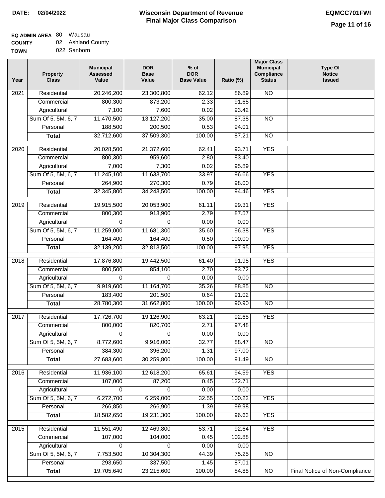# **Wisconsin Department of Revenue Final Major Class Comparison DATE: 02/04/2022 EQMCC701FWI**

### **EQ ADMIN AREA** 80 Wausau **COUNTY** 02 Ashland County

| <b>CUUNIT</b> | <u>UZ ASHIQHU OUUL</u> |
|---------------|------------------------|
| <b>TOWN</b>   | 022 Sanborn            |

| Year | <b>Property</b><br><b>Class</b> | <b>Municipal</b><br><b>Assessed</b><br>Value | <b>DOR</b><br><b>Base</b><br>Value | $%$ of<br><b>DOR</b><br><b>Base Value</b> | Ratio (%)      | <b>Major Class</b><br><b>Municipal</b><br>Compliance<br><b>Status</b> | <b>Type Of</b><br><b>Notice</b><br><b>Issued</b> |
|------|---------------------------------|----------------------------------------------|------------------------------------|-------------------------------------------|----------------|-----------------------------------------------------------------------|--------------------------------------------------|
| 2021 | Residential                     | 20,246,200                                   | 23,300,800                         | 62.12                                     | 86.89          | <b>NO</b>                                                             |                                                  |
|      | Commercial                      | 800,300                                      | 873,200                            | 2.33                                      | 91.65          |                                                                       |                                                  |
|      | Agricultural                    | 7,100                                        | 7,600                              | 0.02                                      | 93.42          |                                                                       |                                                  |
|      | Sum Of 5, 5M, 6, 7              | 11,470,500                                   | 13,127,200                         | 35.00                                     | 87.38          | $\overline{NO}$                                                       |                                                  |
|      | Personal                        | 188,500                                      | 200,500                            | 0.53                                      | 94.01          |                                                                       |                                                  |
|      | <b>Total</b>                    | 32,712,600                                   | 37,509,300                         | 100.00                                    | 87.21          | $\overline{NO}$                                                       |                                                  |
| 2020 | Residential                     | 20,028,500                                   | 21,372,600                         | 62.41                                     | 93.71          | <b>YES</b>                                                            |                                                  |
|      | Commercial                      | 800,300                                      | 959,600                            | 2.80                                      | 83.40          |                                                                       |                                                  |
|      | Agricultural                    | 7,000                                        | 7,300                              | 0.02                                      | 95.89          |                                                                       |                                                  |
|      | Sum Of 5, 5M, 6, 7              | 11,245,100                                   | 11,633,700                         | 33.97                                     | 96.66          | <b>YES</b>                                                            |                                                  |
|      | Personal                        | 264,900                                      | 270,300                            | 0.79                                      | 98.00          |                                                                       |                                                  |
|      | <b>Total</b>                    | 32,345,800                                   | 34,243,500                         | 100.00                                    | 94.46          | <b>YES</b>                                                            |                                                  |
|      |                                 |                                              |                                    |                                           |                |                                                                       |                                                  |
| 2019 | Residential                     | 19,915,500                                   | 20,053,900                         | 61.11                                     | 99.31          | <b>YES</b>                                                            |                                                  |
|      | Commercial                      | 800,300                                      | 913,900                            | 2.79                                      | 87.57          |                                                                       |                                                  |
|      | Agricultural                    | $\Omega$                                     | $\Omega$                           | 0.00                                      | 0.00           |                                                                       |                                                  |
|      | Sum Of 5, 5M, 6, 7              | 11,259,000                                   | 11,681,300                         | 35.60                                     | 96.38          | <b>YES</b>                                                            |                                                  |
|      | Personal                        | 164,400                                      | 164,400                            | 0.50                                      | 100.00         |                                                                       |                                                  |
|      | <b>Total</b>                    | 32,139,200                                   | 32,813,500                         | 100.00                                    | 97.95          | <b>YES</b>                                                            |                                                  |
| 2018 | Residential                     | 17,876,800                                   | 19,442,500                         | 61.40                                     | 91.95          | <b>YES</b>                                                            |                                                  |
|      | Commercial                      | 800,500                                      | 854,100                            | 2.70                                      | 93.72          |                                                                       |                                                  |
|      | Agricultural                    | $\Omega$                                     | 0                                  | 0.00                                      | 0.00           |                                                                       |                                                  |
|      | Sum Of 5, 5M, 6, 7              | 9,919,600                                    | 11,164,700                         | 35.26                                     | 88.85          | <b>NO</b>                                                             |                                                  |
|      | Personal                        | 183,400                                      | 201,500                            | 0.64                                      | 91.02          |                                                                       |                                                  |
|      | <b>Total</b>                    | 28,780,300                                   | 31,662,800                         | 100.00                                    | 90.90          | $\overline{10}$                                                       |                                                  |
| 2017 | Residential                     | 17,726,700                                   | 19,126,900                         | 63.21                                     | 92.68          | <b>YES</b>                                                            |                                                  |
|      | Commercial                      | 800,000                                      | 820,700                            | 2.71                                      | 97.48          |                                                                       |                                                  |
|      | Agricultural                    | 0                                            | 0                                  | 0.00                                      | 0.00           |                                                                       |                                                  |
|      | Sum Of 5, 5M, 6, 7              | 8,772,600                                    | 9,916,000                          | 32.77                                     | 88.47          | $\overline{NO}$                                                       |                                                  |
|      | Personal                        | 384,300                                      | 396,200                            | 1.31                                      | 97.00          |                                                                       |                                                  |
|      | <b>Total</b>                    | 27,683,600                                   | 30,259,800                         | 100.00                                    | 91.49          | <b>NO</b>                                                             |                                                  |
| 2016 | Residential                     | 11,936,100                                   | 12,618,200                         | 65.61                                     | 94.59          | <b>YES</b>                                                            |                                                  |
|      | Commercial                      | 107,000                                      | 87,200                             | 0.45                                      | 122.71         |                                                                       |                                                  |
|      | Agricultural                    | 0                                            | 0                                  | 0.00                                      | 0.00           |                                                                       |                                                  |
|      | Sum Of 5, 5M, 6, 7              | 6,272,700                                    | 6,259,000                          | 32.55                                     | 100.22         | <b>YES</b>                                                            |                                                  |
|      | Personal                        | 266,850                                      | 266,900                            | 1.39                                      | 99.98          |                                                                       |                                                  |
|      | <b>Total</b>                    | 18,582,650                                   | 19,231,300                         | 100.00                                    | 96.63          | <b>YES</b>                                                            |                                                  |
| 2015 |                                 | 11,551,490                                   | 12,469,800                         |                                           |                | <b>YES</b>                                                            |                                                  |
|      | Residential<br>Commercial       | 107,000                                      |                                    | 53.71<br>0.45                             | 92.64          |                                                                       |                                                  |
|      |                                 |                                              | 104,000                            |                                           | 102.88         |                                                                       |                                                  |
|      | Agricultural                    | 0                                            | 0                                  | 0.00                                      | 0.00           |                                                                       |                                                  |
|      | Sum Of 5, 5M, 6, 7              | 7,753,500                                    | 10,304,300                         | 44.39                                     | 75.25          | NO                                                                    |                                                  |
|      | Personal                        | 293,650<br>19,705,640                        | 337,500<br>23,215,600              | 1.45<br>100.00                            | 87.01<br>84.88 | $\overline{NO}$                                                       | <b>Final Notice of Non-Compliance</b>            |
|      | <b>Total</b>                    |                                              |                                    |                                           |                |                                                                       |                                                  |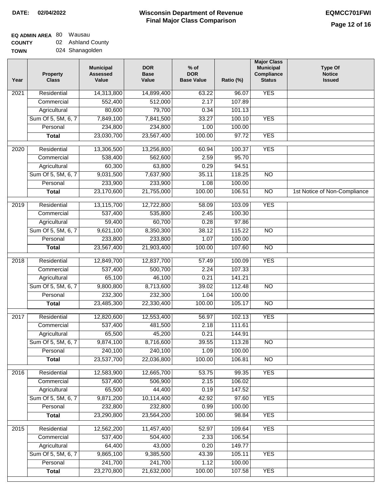## **EQ ADMIN AREA** 80 Wausau **COUNTY** 02 Ashland County

**TOWN** 024 Shanagolden

| Year | <b>Property</b><br><b>Class</b> | <b>Municipal</b><br><b>Assessed</b><br>Value | <b>DOR</b><br><b>Base</b><br>Value | $%$ of<br><b>DOR</b><br><b>Base Value</b> | Ratio (%) | <b>Major Class</b><br><b>Municipal</b><br>Compliance<br><b>Status</b> | <b>Type Of</b><br><b>Notice</b><br><b>Issued</b> |
|------|---------------------------------|----------------------------------------------|------------------------------------|-------------------------------------------|-----------|-----------------------------------------------------------------------|--------------------------------------------------|
| 2021 | Residential                     | 14,313,800                                   | 14,899,400                         | 63.22                                     | 96.07     | <b>YES</b>                                                            |                                                  |
|      | Commercial                      | 552,400                                      | 512,000                            | 2.17                                      | 107.89    |                                                                       |                                                  |
|      | Agricultural                    | 80,600                                       | 79,700                             | 0.34                                      | 101.13    |                                                                       |                                                  |
|      | Sum Of 5, 5M, 6, 7              | 7,849,100                                    | 7,841,500                          | 33.27                                     | 100.10    | <b>YES</b>                                                            |                                                  |
|      | Personal                        | 234,800                                      | 234,800                            | 1.00                                      | 100.00    |                                                                       |                                                  |
|      | <b>Total</b>                    | 23,030,700                                   | 23,567,400                         | 100.00                                    | 97.72     | <b>YES</b>                                                            |                                                  |
| 2020 | Residential                     | 13,306,500                                   | 13,256,800                         | 60.94                                     | 100.37    | <b>YES</b>                                                            |                                                  |
|      | Commercial                      | 538,400                                      | 562,600                            | 2.59                                      | 95.70     |                                                                       |                                                  |
|      | Agricultural                    | 60,300                                       | 63,800                             | 0.29                                      | 94.51     |                                                                       |                                                  |
|      | Sum Of 5, 5M, 6, 7              | 9,031,500                                    | 7,637,900                          | 35.11                                     | 118.25    | $\overline{NO}$                                                       |                                                  |
|      | Personal                        | 233,900                                      | 233,900                            | 1.08                                      | 100.00    |                                                                       |                                                  |
|      | <b>Total</b>                    | 23,170,600                                   | 21,755,000                         | 100.00                                    | 106.51    | N <sub>O</sub>                                                        | 1st Notice of Non-Compliance                     |
| 2019 | Residential                     | 13,115,700                                   | 12,722,800                         | 58.09                                     | 103.09    | <b>YES</b>                                                            |                                                  |
|      | Commercial                      | 537,400                                      | 535,800                            | 2.45                                      | 100.30    |                                                                       |                                                  |
|      | Agricultural                    | 59,400                                       | 60,700                             | 0.28                                      | 97.86     |                                                                       |                                                  |
|      | Sum Of 5, 5M, 6, 7              | 9,621,100                                    | 8,350,300                          | 38.12                                     | 115.22    | $\overline{NO}$                                                       |                                                  |
|      | Personal                        | 233,800                                      | 233,800                            | 1.07                                      | 100.00    |                                                                       |                                                  |
|      | <b>Total</b>                    | 23,567,400                                   | 21,903,400                         | 100.00                                    | 107.60    | $\overline{NO}$                                                       |                                                  |
|      |                                 |                                              |                                    |                                           |           |                                                                       |                                                  |
| 2018 | Residential                     | 12,849,700                                   | 12,837,700                         | 57.49                                     | 100.09    | <b>YES</b>                                                            |                                                  |
|      | Commercial                      | 537,400                                      | 500,700                            | 2.24                                      | 107.33    |                                                                       |                                                  |
|      | Agricultural                    | 65,100                                       | 46,100                             | 0.21                                      | 141.21    |                                                                       |                                                  |
|      | Sum Of 5, 5M, 6, 7              | 9,800,800                                    | 8,713,600                          | 39.02                                     | 112.48    | $\overline{3}$                                                        |                                                  |
|      | Personal                        | 232,300                                      | 232,300                            | 1.04                                      | 100.00    |                                                                       |                                                  |
|      | <b>Total</b>                    | 23,485,300                                   | 22,330,400                         | 100.00                                    | 105.17    | <b>NO</b>                                                             |                                                  |
| 2017 | Residential                     | 12,820,600                                   | 12,553,400                         | 56.97                                     | 102.13    | <b>YES</b>                                                            |                                                  |
|      | Commercial                      | 537,400                                      | 481,500                            | 2.18                                      | 111.61    |                                                                       |                                                  |
|      | Agricultural                    | 65,500                                       | 45,200                             | 0.21                                      | 144.91    |                                                                       |                                                  |
|      | Sum Of 5, 5M, 6, 7              | 9,874,100                                    | 8,716,600                          | 39.55                                     | 113.28    | <b>NO</b>                                                             |                                                  |
|      | Personal                        | 240,100                                      | 240,100                            | 1.09                                      | 100.00    |                                                                       |                                                  |
|      | <b>Total</b>                    | 23,537,700                                   | 22,036,800                         | 100.00                                    | 106.81    | <b>NO</b>                                                             |                                                  |
| 2016 | Residential                     | 12,583,900                                   | 12,665,700                         | 53.75                                     | 99.35     | <b>YES</b>                                                            |                                                  |
|      | Commercial                      | 537,400                                      | 506,900                            | 2.15                                      | 106.02    |                                                                       |                                                  |
|      | Agricultural                    | 65,500                                       | 44,400                             | 0.19                                      | 147.52    |                                                                       |                                                  |
|      | Sum Of 5, 5M, 6, 7              | 9,871,200                                    | 10,114,400                         | 42.92                                     | 97.60     | <b>YES</b>                                                            |                                                  |
|      | Personal                        | 232,800                                      | 232,800                            | 0.99                                      | 100.00    |                                                                       |                                                  |
|      | <b>Total</b>                    | 23,290,800                                   | 23,564,200                         | 100.00                                    | 98.84     | <b>YES</b>                                                            |                                                  |
| 2015 | Residential                     | 12,562,200                                   | 11,457,400                         | 52.97                                     | 109.64    | <b>YES</b>                                                            |                                                  |
|      | Commercial                      | 537,400                                      | 504,400                            | 2.33                                      | 106.54    |                                                                       |                                                  |
|      | Agricultural                    | 64,400                                       | 43,000                             | 0.20                                      | 149.77    |                                                                       |                                                  |
|      | Sum Of 5, 5M, 6, 7              | 9,865,100                                    | 9,385,500                          | 43.39                                     | 105.11    | <b>YES</b>                                                            |                                                  |
|      | Personal                        | 241,700                                      | 241,700                            | 1.12                                      | 100.00    |                                                                       |                                                  |
|      | <b>Total</b>                    | 23,270,800                                   | 21,632,000                         | 100.00                                    | 107.58    | <b>YES</b>                                                            |                                                  |
|      |                                 |                                              |                                    |                                           |           |                                                                       |                                                  |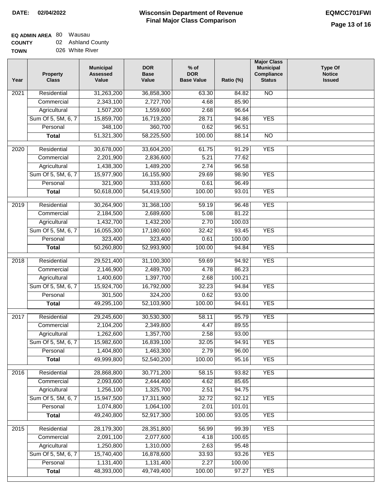## **EQ ADMIN AREA** 80 Wausau **COUNTY** 02 Ashland County

**TOWN** 026 White River

| Year             | <b>Property</b><br><b>Class</b> | <b>Municipal</b><br><b>Assessed</b><br>Value | <b>DOR</b><br><b>Base</b><br>Value | $%$ of<br><b>DOR</b><br><b>Base Value</b> | Ratio (%) | <b>Major Class</b><br><b>Municipal</b><br>Compliance<br><b>Status</b> | <b>Type Of</b><br><b>Notice</b><br><b>Issued</b> |
|------------------|---------------------------------|----------------------------------------------|------------------------------------|-------------------------------------------|-----------|-----------------------------------------------------------------------|--------------------------------------------------|
| 2021             | Residential                     | 31,263,200                                   | 36,858,300                         | 63.30                                     | 84.82     | <b>NO</b>                                                             |                                                  |
|                  | Commercial                      | 2,343,100                                    | 2,727,700                          | 4.68                                      | 85.90     |                                                                       |                                                  |
|                  | Agricultural                    | 1,507,200                                    | 1,559,600                          | 2.68                                      | 96.64     |                                                                       |                                                  |
|                  | Sum Of 5, 5M, 6, 7              | 15,859,700                                   | 16,719,200                         | 28.71                                     | 94.86     | <b>YES</b>                                                            |                                                  |
|                  | Personal                        | 348,100                                      | 360,700                            | 0.62                                      | 96.51     |                                                                       |                                                  |
|                  | <b>Total</b>                    | 51,321,300                                   | 58,225,500                         | 100.00                                    | 88.14     | $\overline{NO}$                                                       |                                                  |
| $\frac{1}{2020}$ | Residential                     | 30,678,000                                   | 33,604,200                         | 61.75                                     | 91.29     | <b>YES</b>                                                            |                                                  |
|                  | Commercial                      | 2,201,900                                    | 2,836,600                          | 5.21                                      | 77.62     |                                                                       |                                                  |
|                  | Agricultural                    | 1,438,300                                    | 1,489,200                          | 2.74                                      | 96.58     |                                                                       |                                                  |
|                  | Sum Of 5, 5M, 6, 7              | 15,977,900                                   | 16,155,900                         | 29.69                                     | 98.90     | <b>YES</b>                                                            |                                                  |
|                  | Personal                        | 321,900                                      | 333,600                            | 0.61                                      | 96.49     |                                                                       |                                                  |
|                  | <b>Total</b>                    | 50,618,000                                   | 54,419,500                         | 100.00                                    | 93.01     | <b>YES</b>                                                            |                                                  |
| $\frac{1}{2019}$ | Residential                     | 30,264,900                                   |                                    |                                           | 96.48     | <b>YES</b>                                                            |                                                  |
|                  | Commercial                      | 2,184,500                                    | 31,368,100<br>2,689,600            | 59.19<br>5.08                             | 81.22     |                                                                       |                                                  |
|                  | Agricultural                    | 1,432,700                                    | 1,432,200                          | 2.70                                      | 100.03    |                                                                       |                                                  |
|                  | Sum Of 5, 5M, 6, 7              | 16,055,300                                   |                                    |                                           | 93.45     | <b>YES</b>                                                            |                                                  |
|                  |                                 |                                              | 17,180,600                         | 32.42<br>0.61                             | 100.00    |                                                                       |                                                  |
|                  | Personal                        | 323,400                                      | 323,400                            |                                           |           | <b>YES</b>                                                            |                                                  |
|                  | <b>Total</b>                    | 50,260,800                                   | 52,993,900                         | 100.00                                    | 94.84     |                                                                       |                                                  |
| 2018             | Residential                     | 29,521,400                                   | 31,100,300                         | 59.69                                     | 94.92     | <b>YES</b>                                                            |                                                  |
|                  | Commercial                      | 2,146,900                                    | 2,489,700                          | 4.78                                      | 86.23     |                                                                       |                                                  |
|                  | Agricultural                    | 1,400,600                                    | 1,397,700                          | 2.68                                      | 100.21    |                                                                       |                                                  |
|                  | Sum Of 5, 5M, 6, 7              | 15,924,700                                   | 16,792,000                         | 32.23                                     | 94.84     | <b>YES</b>                                                            |                                                  |
|                  | Personal                        | 301,500                                      | 324,200                            | 0.62                                      | 93.00     |                                                                       |                                                  |
|                  | <b>Total</b>                    | 49,295,100                                   | 52,103,900                         | 100.00                                    | 94.61     | <b>YES</b>                                                            |                                                  |
| 2017             | Residential                     | 29,245,600                                   | 30,530,300                         | 58.11                                     | 95.79     | <b>YES</b>                                                            |                                                  |
|                  | Commercial                      | 2,104,200                                    | 2,349,800                          | 4.47                                      | 89.55     |                                                                       |                                                  |
|                  | Agricultural                    | 1,262,600                                    | 1,357,700                          | 2.58                                      | 93.00     |                                                                       |                                                  |
|                  | Sum Of 5, 5M, 6, 7              | 15,982,600                                   | 16,839,100                         | 32.05                                     | 94.91     | <b>YES</b>                                                            |                                                  |
|                  | Personal                        | 1,404,800                                    | 1,463,300                          | 2.79                                      | 96.00     |                                                                       |                                                  |
|                  | <b>Total</b>                    | 49,999,800                                   | 52,540,200                         | 100.00                                    | 95.16     | <b>YES</b>                                                            |                                                  |
|                  |                                 |                                              |                                    |                                           |           |                                                                       |                                                  |
| 2016             | Residential                     | 28,868,800                                   | 30,771,200                         | 58.15                                     | 93.82     | <b>YES</b>                                                            |                                                  |
|                  | Commercial                      | 2,093,600                                    | 2,444,400                          | 4.62                                      | 85.65     |                                                                       |                                                  |
|                  | Agricultural                    | 1,256,100                                    | 1,325,700                          | 2.51                                      | 94.75     |                                                                       |                                                  |
|                  | Sum Of 5, 5M, 6, 7              | 15,947,500                                   | 17,311,900                         | 32.72                                     | 92.12     | <b>YES</b>                                                            |                                                  |
|                  | Personal                        | 1,074,800                                    | 1,064,100                          | 2.01                                      | 101.01    |                                                                       |                                                  |
|                  | <b>Total</b>                    | 49,240,800                                   | 52,917,300                         | 100.00                                    | 93.05     | <b>YES</b>                                                            |                                                  |
| 2015             | Residential                     | 28,179,300                                   | 28,351,800                         | 56.99                                     | 99.39     | <b>YES</b>                                                            |                                                  |
|                  | Commercial                      | 2,091,100                                    | 2,077,600                          | 4.18                                      | 100.65    |                                                                       |                                                  |
|                  | Agricultural                    | 1,250,800                                    | 1,310,000                          | 2.63                                      | 95.48     |                                                                       |                                                  |
|                  | Sum Of 5, 5M, 6, 7              | 15,740,400                                   | 16,878,600                         | 33.93                                     | 93.26     | <b>YES</b>                                                            |                                                  |
|                  | Personal                        | 1,131,400                                    | 1,131,400                          | 2.27                                      | 100.00    |                                                                       |                                                  |
|                  | <b>Total</b>                    | 48,393,000                                   | 49,749,400                         | 100.00                                    | 97.27     | <b>YES</b>                                                            |                                                  |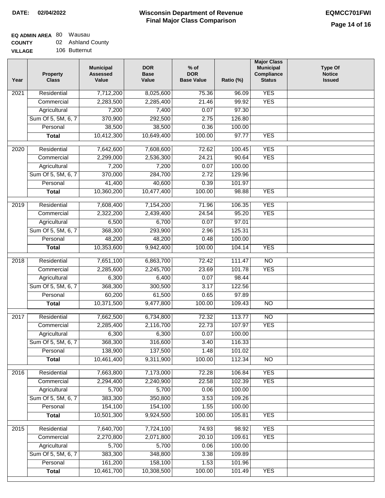### **EQ ADMIN AREA** 80 Wausau **COUNTY** 02 Ashland County

| <b>COUNT</b>   | <u>UZ ASHIQHU OUUL</u> |
|----------------|------------------------|
| <b>VILLAGE</b> | 106 Butternut          |

| Year              | <b>Property</b><br><b>Class</b> | <b>Municipal</b><br><b>Assessed</b><br>Value | <b>DOR</b><br><b>Base</b><br>Value | $%$ of<br><b>DOR</b><br><b>Base Value</b> | Ratio (%) | <b>Major Class</b><br><b>Municipal</b><br>Compliance<br><b>Status</b> | <b>Type Of</b><br><b>Notice</b><br><b>Issued</b> |
|-------------------|---------------------------------|----------------------------------------------|------------------------------------|-------------------------------------------|-----------|-----------------------------------------------------------------------|--------------------------------------------------|
| 2021              | Residential                     | 7,712,200                                    | 8,025,600                          | 75.36                                     | 96.09     | <b>YES</b>                                                            |                                                  |
|                   | Commercial                      | 2,283,500                                    | 2,285,400                          | 21.46                                     | 99.92     | <b>YES</b>                                                            |                                                  |
|                   | Agricultural                    | 7,200                                        | 7,400                              | 0.07                                      | 97.30     |                                                                       |                                                  |
|                   | Sum Of 5, 5M, 6, 7              | 370,900                                      | 292,500                            | 2.75                                      | 126.80    |                                                                       |                                                  |
|                   | Personal                        | 38,500                                       | 38,500                             | 0.36                                      | 100.00    |                                                                       |                                                  |
|                   | <b>Total</b>                    | 10,412,300                                   | 10,649,400                         | 100.00                                    | 97.77     | <b>YES</b>                                                            |                                                  |
| $\overline{2020}$ | Residential                     | 7,642,600                                    | 7,608,600                          | 72.62                                     | 100.45    | <b>YES</b>                                                            |                                                  |
|                   | Commercial                      | 2,299,000                                    | 2,536,300                          | 24.21                                     | 90.64     | <b>YES</b>                                                            |                                                  |
|                   | Agricultural                    | 7,200                                        | 7,200                              | 0.07                                      | 100.00    |                                                                       |                                                  |
|                   | Sum Of 5, 5M, 6, 7              | 370,000                                      | 284,700                            | 2.72                                      | 129.96    |                                                                       |                                                  |
|                   | Personal                        | 41,400                                       | 40,600                             | 0.39                                      | 101.97    |                                                                       |                                                  |
|                   | <b>Total</b>                    | 10,360,200                                   | 10,477,400                         | 100.00                                    | 98.88     | <b>YES</b>                                                            |                                                  |
|                   |                                 |                                              |                                    |                                           |           |                                                                       |                                                  |
| 2019              | Residential                     | 7,608,400                                    | 7,154,200                          | 71.96                                     | 106.35    | <b>YES</b>                                                            |                                                  |
|                   | Commercial                      | 2,322,200                                    | 2,439,400                          | 24.54                                     | 95.20     | <b>YES</b>                                                            |                                                  |
|                   | Agricultural                    | 6,500                                        | 6,700                              | 0.07                                      | 97.01     |                                                                       |                                                  |
|                   | Sum Of 5, 5M, 6, 7              | 368,300                                      | 293,900                            | 2.96                                      | 125.31    |                                                                       |                                                  |
|                   | Personal                        | 48,200                                       | 48,200                             | 0.48                                      | 100.00    |                                                                       |                                                  |
|                   | <b>Total</b>                    | 10,353,600                                   | 9,942,400                          | 100.00                                    | 104.14    | <b>YES</b>                                                            |                                                  |
| 2018              | Residential                     | 7,651,100                                    | 6,863,700                          | 72.42                                     | 111.47    | $\overline{NO}$                                                       |                                                  |
|                   | Commercial                      | 2,285,600                                    | 2,245,700                          | 23.69                                     | 101.78    | <b>YES</b>                                                            |                                                  |
|                   | Agricultural                    | 6,300                                        | 6,400                              | 0.07                                      | 98.44     |                                                                       |                                                  |
|                   | Sum Of 5, 5M, 6, 7              | 368,300                                      | 300,500                            | 3.17                                      | 122.56    |                                                                       |                                                  |
|                   | Personal                        | 60,200                                       | 61,500                             | 0.65                                      | 97.89     |                                                                       |                                                  |
|                   | <b>Total</b>                    | 10,371,500                                   | 9,477,800                          | 100.00                                    | 109.43    | $\overline{10}$                                                       |                                                  |
| 2017              | Residential                     | 7,662,500                                    | 6,734,800                          | 72.32                                     | 113.77    | $\overline{N}$                                                        |                                                  |
|                   | Commercial                      | 2,285,400                                    | 2,116,700                          | 22.73                                     | 107.97    | <b>YES</b>                                                            |                                                  |
|                   | Agricultural                    | 6,300                                        | 6,300                              | 0.07                                      | 100.00    |                                                                       |                                                  |
|                   | Sum Of 5, 5M, 6, 7              | 368,300                                      | 316,600                            | 3.40                                      | 116.33    |                                                                       |                                                  |
|                   | Personal                        | 138,900                                      | 137,500                            | 1.48                                      | 101.02    |                                                                       |                                                  |
|                   | <b>Total</b>                    | 10,461,400                                   | 9,311,900                          | 100.00                                    | 112.34    | $\overline{30}$                                                       |                                                  |
| 2016              | Residential                     | 7,663,800                                    | 7,173,000                          | 72.28                                     | 106.84    | <b>YES</b>                                                            |                                                  |
|                   | Commercial                      | 2,294,400                                    | 2,240,900                          | 22.58                                     | 102.39    | <b>YES</b>                                                            |                                                  |
|                   | Agricultural                    | 5,700                                        | 5,700                              | 0.06                                      | 100.00    |                                                                       |                                                  |
|                   | Sum Of 5, 5M, 6, 7              | 383,300                                      | 350,800                            | 3.53                                      | 109.26    |                                                                       |                                                  |
|                   | Personal                        | 154,100                                      | 154,100                            | 1.55                                      | 100.00    |                                                                       |                                                  |
|                   | <b>Total</b>                    | 10,501,300                                   | 9,924,500                          | 100.00                                    | 105.81    | <b>YES</b>                                                            |                                                  |
|                   |                                 |                                              |                                    |                                           |           |                                                                       |                                                  |
| 2015              | Residential                     | 7,640,700                                    | 7,724,100                          | 74.93                                     | 98.92     | <b>YES</b>                                                            |                                                  |
|                   | Commercial                      | 2,270,800                                    | 2,071,800                          | 20.10                                     | 109.61    | <b>YES</b>                                                            |                                                  |
|                   | Agricultural                    | 5,700                                        | 5,700                              | 0.06                                      | 100.00    |                                                                       |                                                  |
|                   | Sum Of 5, 5M, 6, 7              | 383,300                                      | 348,800                            | 3.38                                      | 109.89    |                                                                       |                                                  |
|                   | Personal                        | 161,200                                      | 158,100                            | 1.53                                      | 101.96    |                                                                       |                                                  |
|                   | <b>Total</b>                    | 10,461,700                                   | 10,308,500                         | 100.00                                    | 101.49    | <b>YES</b>                                                            |                                                  |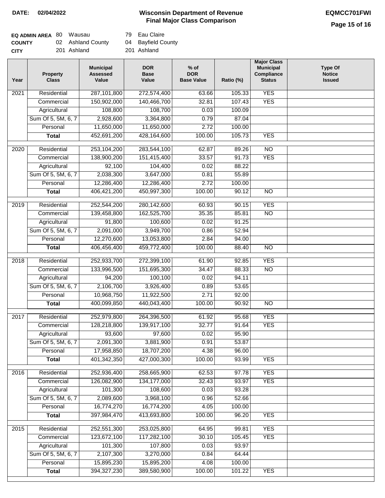# **Wisconsin Department of Revenue DATE: 02/04/2022 EQMCC701FWI Final Major Class Comparison**

**Bayfield County** Ashland

Eau Claire

**Major Class**

| <b>EQ ADMIN AREA 80 Wausau</b> |                   | 79  |
|--------------------------------|-------------------|-----|
| <b>COUNTY</b>                  | 02 Ashland County | 04  |
| <b>CITY</b>                    | 201 Ashland       | 201 |

| Residential<br>287,101,800<br><b>YES</b><br>2021<br>272,574,400<br>63.66<br>105.33<br><b>YES</b><br>150,902,000<br>140,466,700<br>32.81<br>107.43<br>Commercial<br>Agricultural<br>108,700<br>100.09<br>108,800<br>0.03<br>Sum Of 5, 5M, 6, 7<br>2,928,600<br>3,364,800<br>0.79<br>87.04<br>Personal<br>11,650,000<br>2.72<br>100.00<br>11,650,000<br>452,691,200<br>428,164,600<br>100.00<br>105.73<br><b>YES</b><br><b>Total</b><br>$\overline{20}20$<br>253,104,200<br>283,544,100<br>$\overline{NO}$<br>Residential<br>62.87<br>89.26<br><b>YES</b><br>Commercial<br>138,900,200<br>151,415,400<br>33.57<br>91.73<br>88.22<br>Agricultural<br>92,100<br>104,400<br>0.02<br>Sum Of 5, 5M, 6, 7<br>2,038,300<br>55.89<br>3,647,000<br>0.81<br>Personal<br>12,286,400<br>12,286,400<br>2.72<br>100.00<br><b>Total</b><br>406,421,200<br>450,997,300<br>100.00<br>90.12<br>$\overline{NO}$<br><b>YES</b><br>$\frac{1}{2019}$<br>Residential<br>252,544,200<br>280,142,600<br>60.93<br>90.15<br>85.81<br>$\overline{NO}$<br>139,458,800<br>162,525,700<br>35.35<br>Commercial<br>100,600<br>Agricultural<br>91,800<br>0.02<br>91.25<br>Sum Of 5, 5M, 6, 7<br>2,091,000<br>3,949,700<br>52.94<br>0.86<br>12,270,600<br>13,053,800<br>Personal<br>2.84<br>94.00<br>406,456,400<br>459,772,400<br>100.00<br>88.40<br>$\overline{NO}$<br><b>Total</b><br><b>YES</b><br>2018<br>Residential<br>252,933,700<br>272,399,100<br>61.90<br>92.85<br>151,695,300<br>133,996,500<br>34.47<br>88.33<br>$\overline{NO}$<br>Commercial<br>94,200<br>100,100<br>0.02<br>94.11<br>Agricultural<br>Sum Of 5, 5M, 6, 7<br>2,106,700<br>3,926,400<br>0.89<br>53.65<br>10,968,750<br>11,922,500<br>2.71<br>92.00<br>Personal<br>400,099,850<br>440,043,400<br>100.00<br>90.92<br>$\overline{NO}$<br><b>Total</b><br>2017<br>Residential<br>252,979,800<br>264,396,500<br>95.68<br><b>YES</b><br>61.92<br><b>YES</b><br>139,917,100<br>32.77<br>91.64<br>Commercial<br>128,218,800<br>93,600<br>97,600<br>0.02<br>95.90<br>Agricultural<br>Sum Of 5, 5M, 6, 7<br>53.87<br>2,091,300<br>3,881,900<br>0.91<br>Personal<br>17,958,850<br>18,707,200<br>4.38<br>96.00<br><b>YES</b><br>401,342,350<br>427,000,300<br>100.00<br>93.99<br><b>Total</b><br><b>YES</b><br>2016<br>Residential<br>252,936,400<br>258,665,900<br>62.53<br>97.78<br>134, 177, 000<br>93.97<br><b>YES</b><br>Commercial<br>126,082,900<br>32.43<br>101,300<br>Agricultural<br>108,600<br>0.03<br>93.28<br>52.66<br>Sum Of 5, 5M, 6, 7<br>2,089,600<br>3,968,100<br>0.96<br>Personal<br>16,774,270<br>16,774,200<br>4.05<br>100.00<br><b>YES</b><br><b>Total</b><br>397,984,470<br>413,693,800<br>100.00<br>96.20<br><b>YES</b><br>Residential<br>252,551,300<br>253,025,800<br>2015<br>64.95<br>99.81<br><b>YES</b><br>123,672,100<br>117,282,100<br>30.10<br>105.45<br>Commercial<br>101,300<br>107,800<br>93.97<br>Agricultural<br>0.03<br>Sum Of 5, 5M, 6, 7<br>2,107,300<br>3,270,000<br>64.44<br>0.84<br>Personal<br>15,895,230<br>15,895,200<br>100.00<br>4.08<br>394, 327, 230<br>389,580,900<br>100.00<br>101.22<br><b>YES</b><br><b>Total</b> | Year | <b>Property</b><br><b>Class</b> | <b>Municipal</b><br><b>Assessed</b><br>Value | <b>DOR</b><br><b>Base</b><br>Value | % of<br><b>DOR</b><br><b>Base Value</b> | Ratio (%) | <b>Municipal</b><br>Compliance<br><b>Status</b> | <b>Type Of</b><br><b>Notice</b><br><b>Issued</b> |
|-----------------------------------------------------------------------------------------------------------------------------------------------------------------------------------------------------------------------------------------------------------------------------------------------------------------------------------------------------------------------------------------------------------------------------------------------------------------------------------------------------------------------------------------------------------------------------------------------------------------------------------------------------------------------------------------------------------------------------------------------------------------------------------------------------------------------------------------------------------------------------------------------------------------------------------------------------------------------------------------------------------------------------------------------------------------------------------------------------------------------------------------------------------------------------------------------------------------------------------------------------------------------------------------------------------------------------------------------------------------------------------------------------------------------------------------------------------------------------------------------------------------------------------------------------------------------------------------------------------------------------------------------------------------------------------------------------------------------------------------------------------------------------------------------------------------------------------------------------------------------------------------------------------------------------------------------------------------------------------------------------------------------------------------------------------------------------------------------------------------------------------------------------------------------------------------------------------------------------------------------------------------------------------------------------------------------------------------------------------------------------------------------------------------------------------------------------------------------------------------------------------------------------------------------------------------------------------------------------------------------------------------------------------------------------------------------------------------------------------------------------------------------------------------------------------------------------------------------------------------------------------------------------------------------------------------------------------------------------------------------------------------------------------------------------------------------------------------------------|------|---------------------------------|----------------------------------------------|------------------------------------|-----------------------------------------|-----------|-------------------------------------------------|--------------------------------------------------|
|                                                                                                                                                                                                                                                                                                                                                                                                                                                                                                                                                                                                                                                                                                                                                                                                                                                                                                                                                                                                                                                                                                                                                                                                                                                                                                                                                                                                                                                                                                                                                                                                                                                                                                                                                                                                                                                                                                                                                                                                                                                                                                                                                                                                                                                                                                                                                                                                                                                                                                                                                                                                                                                                                                                                                                                                                                                                                                                                                                                                                                                                                                     |      |                                 |                                              |                                    |                                         |           |                                                 |                                                  |
|                                                                                                                                                                                                                                                                                                                                                                                                                                                                                                                                                                                                                                                                                                                                                                                                                                                                                                                                                                                                                                                                                                                                                                                                                                                                                                                                                                                                                                                                                                                                                                                                                                                                                                                                                                                                                                                                                                                                                                                                                                                                                                                                                                                                                                                                                                                                                                                                                                                                                                                                                                                                                                                                                                                                                                                                                                                                                                                                                                                                                                                                                                     |      |                                 |                                              |                                    |                                         |           |                                                 |                                                  |
|                                                                                                                                                                                                                                                                                                                                                                                                                                                                                                                                                                                                                                                                                                                                                                                                                                                                                                                                                                                                                                                                                                                                                                                                                                                                                                                                                                                                                                                                                                                                                                                                                                                                                                                                                                                                                                                                                                                                                                                                                                                                                                                                                                                                                                                                                                                                                                                                                                                                                                                                                                                                                                                                                                                                                                                                                                                                                                                                                                                                                                                                                                     |      |                                 |                                              |                                    |                                         |           |                                                 |                                                  |
|                                                                                                                                                                                                                                                                                                                                                                                                                                                                                                                                                                                                                                                                                                                                                                                                                                                                                                                                                                                                                                                                                                                                                                                                                                                                                                                                                                                                                                                                                                                                                                                                                                                                                                                                                                                                                                                                                                                                                                                                                                                                                                                                                                                                                                                                                                                                                                                                                                                                                                                                                                                                                                                                                                                                                                                                                                                                                                                                                                                                                                                                                                     |      |                                 |                                              |                                    |                                         |           |                                                 |                                                  |
|                                                                                                                                                                                                                                                                                                                                                                                                                                                                                                                                                                                                                                                                                                                                                                                                                                                                                                                                                                                                                                                                                                                                                                                                                                                                                                                                                                                                                                                                                                                                                                                                                                                                                                                                                                                                                                                                                                                                                                                                                                                                                                                                                                                                                                                                                                                                                                                                                                                                                                                                                                                                                                                                                                                                                                                                                                                                                                                                                                                                                                                                                                     |      |                                 |                                              |                                    |                                         |           |                                                 |                                                  |
|                                                                                                                                                                                                                                                                                                                                                                                                                                                                                                                                                                                                                                                                                                                                                                                                                                                                                                                                                                                                                                                                                                                                                                                                                                                                                                                                                                                                                                                                                                                                                                                                                                                                                                                                                                                                                                                                                                                                                                                                                                                                                                                                                                                                                                                                                                                                                                                                                                                                                                                                                                                                                                                                                                                                                                                                                                                                                                                                                                                                                                                                                                     |      |                                 |                                              |                                    |                                         |           |                                                 |                                                  |
|                                                                                                                                                                                                                                                                                                                                                                                                                                                                                                                                                                                                                                                                                                                                                                                                                                                                                                                                                                                                                                                                                                                                                                                                                                                                                                                                                                                                                                                                                                                                                                                                                                                                                                                                                                                                                                                                                                                                                                                                                                                                                                                                                                                                                                                                                                                                                                                                                                                                                                                                                                                                                                                                                                                                                                                                                                                                                                                                                                                                                                                                                                     |      |                                 |                                              |                                    |                                         |           |                                                 |                                                  |
|                                                                                                                                                                                                                                                                                                                                                                                                                                                                                                                                                                                                                                                                                                                                                                                                                                                                                                                                                                                                                                                                                                                                                                                                                                                                                                                                                                                                                                                                                                                                                                                                                                                                                                                                                                                                                                                                                                                                                                                                                                                                                                                                                                                                                                                                                                                                                                                                                                                                                                                                                                                                                                                                                                                                                                                                                                                                                                                                                                                                                                                                                                     |      |                                 |                                              |                                    |                                         |           |                                                 |                                                  |
|                                                                                                                                                                                                                                                                                                                                                                                                                                                                                                                                                                                                                                                                                                                                                                                                                                                                                                                                                                                                                                                                                                                                                                                                                                                                                                                                                                                                                                                                                                                                                                                                                                                                                                                                                                                                                                                                                                                                                                                                                                                                                                                                                                                                                                                                                                                                                                                                                                                                                                                                                                                                                                                                                                                                                                                                                                                                                                                                                                                                                                                                                                     |      |                                 |                                              |                                    |                                         |           |                                                 |                                                  |
|                                                                                                                                                                                                                                                                                                                                                                                                                                                                                                                                                                                                                                                                                                                                                                                                                                                                                                                                                                                                                                                                                                                                                                                                                                                                                                                                                                                                                                                                                                                                                                                                                                                                                                                                                                                                                                                                                                                                                                                                                                                                                                                                                                                                                                                                                                                                                                                                                                                                                                                                                                                                                                                                                                                                                                                                                                                                                                                                                                                                                                                                                                     |      |                                 |                                              |                                    |                                         |           |                                                 |                                                  |
|                                                                                                                                                                                                                                                                                                                                                                                                                                                                                                                                                                                                                                                                                                                                                                                                                                                                                                                                                                                                                                                                                                                                                                                                                                                                                                                                                                                                                                                                                                                                                                                                                                                                                                                                                                                                                                                                                                                                                                                                                                                                                                                                                                                                                                                                                                                                                                                                                                                                                                                                                                                                                                                                                                                                                                                                                                                                                                                                                                                                                                                                                                     |      |                                 |                                              |                                    |                                         |           |                                                 |                                                  |
|                                                                                                                                                                                                                                                                                                                                                                                                                                                                                                                                                                                                                                                                                                                                                                                                                                                                                                                                                                                                                                                                                                                                                                                                                                                                                                                                                                                                                                                                                                                                                                                                                                                                                                                                                                                                                                                                                                                                                                                                                                                                                                                                                                                                                                                                                                                                                                                                                                                                                                                                                                                                                                                                                                                                                                                                                                                                                                                                                                                                                                                                                                     |      |                                 |                                              |                                    |                                         |           |                                                 |                                                  |
|                                                                                                                                                                                                                                                                                                                                                                                                                                                                                                                                                                                                                                                                                                                                                                                                                                                                                                                                                                                                                                                                                                                                                                                                                                                                                                                                                                                                                                                                                                                                                                                                                                                                                                                                                                                                                                                                                                                                                                                                                                                                                                                                                                                                                                                                                                                                                                                                                                                                                                                                                                                                                                                                                                                                                                                                                                                                                                                                                                                                                                                                                                     |      |                                 |                                              |                                    |                                         |           |                                                 |                                                  |
|                                                                                                                                                                                                                                                                                                                                                                                                                                                                                                                                                                                                                                                                                                                                                                                                                                                                                                                                                                                                                                                                                                                                                                                                                                                                                                                                                                                                                                                                                                                                                                                                                                                                                                                                                                                                                                                                                                                                                                                                                                                                                                                                                                                                                                                                                                                                                                                                                                                                                                                                                                                                                                                                                                                                                                                                                                                                                                                                                                                                                                                                                                     |      |                                 |                                              |                                    |                                         |           |                                                 |                                                  |
|                                                                                                                                                                                                                                                                                                                                                                                                                                                                                                                                                                                                                                                                                                                                                                                                                                                                                                                                                                                                                                                                                                                                                                                                                                                                                                                                                                                                                                                                                                                                                                                                                                                                                                                                                                                                                                                                                                                                                                                                                                                                                                                                                                                                                                                                                                                                                                                                                                                                                                                                                                                                                                                                                                                                                                                                                                                                                                                                                                                                                                                                                                     |      |                                 |                                              |                                    |                                         |           |                                                 |                                                  |
|                                                                                                                                                                                                                                                                                                                                                                                                                                                                                                                                                                                                                                                                                                                                                                                                                                                                                                                                                                                                                                                                                                                                                                                                                                                                                                                                                                                                                                                                                                                                                                                                                                                                                                                                                                                                                                                                                                                                                                                                                                                                                                                                                                                                                                                                                                                                                                                                                                                                                                                                                                                                                                                                                                                                                                                                                                                                                                                                                                                                                                                                                                     |      |                                 |                                              |                                    |                                         |           |                                                 |                                                  |
|                                                                                                                                                                                                                                                                                                                                                                                                                                                                                                                                                                                                                                                                                                                                                                                                                                                                                                                                                                                                                                                                                                                                                                                                                                                                                                                                                                                                                                                                                                                                                                                                                                                                                                                                                                                                                                                                                                                                                                                                                                                                                                                                                                                                                                                                                                                                                                                                                                                                                                                                                                                                                                                                                                                                                                                                                                                                                                                                                                                                                                                                                                     |      |                                 |                                              |                                    |                                         |           |                                                 |                                                  |
|                                                                                                                                                                                                                                                                                                                                                                                                                                                                                                                                                                                                                                                                                                                                                                                                                                                                                                                                                                                                                                                                                                                                                                                                                                                                                                                                                                                                                                                                                                                                                                                                                                                                                                                                                                                                                                                                                                                                                                                                                                                                                                                                                                                                                                                                                                                                                                                                                                                                                                                                                                                                                                                                                                                                                                                                                                                                                                                                                                                                                                                                                                     |      |                                 |                                              |                                    |                                         |           |                                                 |                                                  |
|                                                                                                                                                                                                                                                                                                                                                                                                                                                                                                                                                                                                                                                                                                                                                                                                                                                                                                                                                                                                                                                                                                                                                                                                                                                                                                                                                                                                                                                                                                                                                                                                                                                                                                                                                                                                                                                                                                                                                                                                                                                                                                                                                                                                                                                                                                                                                                                                                                                                                                                                                                                                                                                                                                                                                                                                                                                                                                                                                                                                                                                                                                     |      |                                 |                                              |                                    |                                         |           |                                                 |                                                  |
|                                                                                                                                                                                                                                                                                                                                                                                                                                                                                                                                                                                                                                                                                                                                                                                                                                                                                                                                                                                                                                                                                                                                                                                                                                                                                                                                                                                                                                                                                                                                                                                                                                                                                                                                                                                                                                                                                                                                                                                                                                                                                                                                                                                                                                                                                                                                                                                                                                                                                                                                                                                                                                                                                                                                                                                                                                                                                                                                                                                                                                                                                                     |      |                                 |                                              |                                    |                                         |           |                                                 |                                                  |
|                                                                                                                                                                                                                                                                                                                                                                                                                                                                                                                                                                                                                                                                                                                                                                                                                                                                                                                                                                                                                                                                                                                                                                                                                                                                                                                                                                                                                                                                                                                                                                                                                                                                                                                                                                                                                                                                                                                                                                                                                                                                                                                                                                                                                                                                                                                                                                                                                                                                                                                                                                                                                                                                                                                                                                                                                                                                                                                                                                                                                                                                                                     |      |                                 |                                              |                                    |                                         |           |                                                 |                                                  |
|                                                                                                                                                                                                                                                                                                                                                                                                                                                                                                                                                                                                                                                                                                                                                                                                                                                                                                                                                                                                                                                                                                                                                                                                                                                                                                                                                                                                                                                                                                                                                                                                                                                                                                                                                                                                                                                                                                                                                                                                                                                                                                                                                                                                                                                                                                                                                                                                                                                                                                                                                                                                                                                                                                                                                                                                                                                                                                                                                                                                                                                                                                     |      |                                 |                                              |                                    |                                         |           |                                                 |                                                  |
|                                                                                                                                                                                                                                                                                                                                                                                                                                                                                                                                                                                                                                                                                                                                                                                                                                                                                                                                                                                                                                                                                                                                                                                                                                                                                                                                                                                                                                                                                                                                                                                                                                                                                                                                                                                                                                                                                                                                                                                                                                                                                                                                                                                                                                                                                                                                                                                                                                                                                                                                                                                                                                                                                                                                                                                                                                                                                                                                                                                                                                                                                                     |      |                                 |                                              |                                    |                                         |           |                                                 |                                                  |
|                                                                                                                                                                                                                                                                                                                                                                                                                                                                                                                                                                                                                                                                                                                                                                                                                                                                                                                                                                                                                                                                                                                                                                                                                                                                                                                                                                                                                                                                                                                                                                                                                                                                                                                                                                                                                                                                                                                                                                                                                                                                                                                                                                                                                                                                                                                                                                                                                                                                                                                                                                                                                                                                                                                                                                                                                                                                                                                                                                                                                                                                                                     |      |                                 |                                              |                                    |                                         |           |                                                 |                                                  |
|                                                                                                                                                                                                                                                                                                                                                                                                                                                                                                                                                                                                                                                                                                                                                                                                                                                                                                                                                                                                                                                                                                                                                                                                                                                                                                                                                                                                                                                                                                                                                                                                                                                                                                                                                                                                                                                                                                                                                                                                                                                                                                                                                                                                                                                                                                                                                                                                                                                                                                                                                                                                                                                                                                                                                                                                                                                                                                                                                                                                                                                                                                     |      |                                 |                                              |                                    |                                         |           |                                                 |                                                  |
|                                                                                                                                                                                                                                                                                                                                                                                                                                                                                                                                                                                                                                                                                                                                                                                                                                                                                                                                                                                                                                                                                                                                                                                                                                                                                                                                                                                                                                                                                                                                                                                                                                                                                                                                                                                                                                                                                                                                                                                                                                                                                                                                                                                                                                                                                                                                                                                                                                                                                                                                                                                                                                                                                                                                                                                                                                                                                                                                                                                                                                                                                                     |      |                                 |                                              |                                    |                                         |           |                                                 |                                                  |
|                                                                                                                                                                                                                                                                                                                                                                                                                                                                                                                                                                                                                                                                                                                                                                                                                                                                                                                                                                                                                                                                                                                                                                                                                                                                                                                                                                                                                                                                                                                                                                                                                                                                                                                                                                                                                                                                                                                                                                                                                                                                                                                                                                                                                                                                                                                                                                                                                                                                                                                                                                                                                                                                                                                                                                                                                                                                                                                                                                                                                                                                                                     |      |                                 |                                              |                                    |                                         |           |                                                 |                                                  |
|                                                                                                                                                                                                                                                                                                                                                                                                                                                                                                                                                                                                                                                                                                                                                                                                                                                                                                                                                                                                                                                                                                                                                                                                                                                                                                                                                                                                                                                                                                                                                                                                                                                                                                                                                                                                                                                                                                                                                                                                                                                                                                                                                                                                                                                                                                                                                                                                                                                                                                                                                                                                                                                                                                                                                                                                                                                                                                                                                                                                                                                                                                     |      |                                 |                                              |                                    |                                         |           |                                                 |                                                  |
|                                                                                                                                                                                                                                                                                                                                                                                                                                                                                                                                                                                                                                                                                                                                                                                                                                                                                                                                                                                                                                                                                                                                                                                                                                                                                                                                                                                                                                                                                                                                                                                                                                                                                                                                                                                                                                                                                                                                                                                                                                                                                                                                                                                                                                                                                                                                                                                                                                                                                                                                                                                                                                                                                                                                                                                                                                                                                                                                                                                                                                                                                                     |      |                                 |                                              |                                    |                                         |           |                                                 |                                                  |
|                                                                                                                                                                                                                                                                                                                                                                                                                                                                                                                                                                                                                                                                                                                                                                                                                                                                                                                                                                                                                                                                                                                                                                                                                                                                                                                                                                                                                                                                                                                                                                                                                                                                                                                                                                                                                                                                                                                                                                                                                                                                                                                                                                                                                                                                                                                                                                                                                                                                                                                                                                                                                                                                                                                                                                                                                                                                                                                                                                                                                                                                                                     |      |                                 |                                              |                                    |                                         |           |                                                 |                                                  |
|                                                                                                                                                                                                                                                                                                                                                                                                                                                                                                                                                                                                                                                                                                                                                                                                                                                                                                                                                                                                                                                                                                                                                                                                                                                                                                                                                                                                                                                                                                                                                                                                                                                                                                                                                                                                                                                                                                                                                                                                                                                                                                                                                                                                                                                                                                                                                                                                                                                                                                                                                                                                                                                                                                                                                                                                                                                                                                                                                                                                                                                                                                     |      |                                 |                                              |                                    |                                         |           |                                                 |                                                  |
|                                                                                                                                                                                                                                                                                                                                                                                                                                                                                                                                                                                                                                                                                                                                                                                                                                                                                                                                                                                                                                                                                                                                                                                                                                                                                                                                                                                                                                                                                                                                                                                                                                                                                                                                                                                                                                                                                                                                                                                                                                                                                                                                                                                                                                                                                                                                                                                                                                                                                                                                                                                                                                                                                                                                                                                                                                                                                                                                                                                                                                                                                                     |      |                                 |                                              |                                    |                                         |           |                                                 |                                                  |
|                                                                                                                                                                                                                                                                                                                                                                                                                                                                                                                                                                                                                                                                                                                                                                                                                                                                                                                                                                                                                                                                                                                                                                                                                                                                                                                                                                                                                                                                                                                                                                                                                                                                                                                                                                                                                                                                                                                                                                                                                                                                                                                                                                                                                                                                                                                                                                                                                                                                                                                                                                                                                                                                                                                                                                                                                                                                                                                                                                                                                                                                                                     |      |                                 |                                              |                                    |                                         |           |                                                 |                                                  |
|                                                                                                                                                                                                                                                                                                                                                                                                                                                                                                                                                                                                                                                                                                                                                                                                                                                                                                                                                                                                                                                                                                                                                                                                                                                                                                                                                                                                                                                                                                                                                                                                                                                                                                                                                                                                                                                                                                                                                                                                                                                                                                                                                                                                                                                                                                                                                                                                                                                                                                                                                                                                                                                                                                                                                                                                                                                                                                                                                                                                                                                                                                     |      |                                 |                                              |                                    |                                         |           |                                                 |                                                  |
|                                                                                                                                                                                                                                                                                                                                                                                                                                                                                                                                                                                                                                                                                                                                                                                                                                                                                                                                                                                                                                                                                                                                                                                                                                                                                                                                                                                                                                                                                                                                                                                                                                                                                                                                                                                                                                                                                                                                                                                                                                                                                                                                                                                                                                                                                                                                                                                                                                                                                                                                                                                                                                                                                                                                                                                                                                                                                                                                                                                                                                                                                                     |      |                                 |                                              |                                    |                                         |           |                                                 |                                                  |
|                                                                                                                                                                                                                                                                                                                                                                                                                                                                                                                                                                                                                                                                                                                                                                                                                                                                                                                                                                                                                                                                                                                                                                                                                                                                                                                                                                                                                                                                                                                                                                                                                                                                                                                                                                                                                                                                                                                                                                                                                                                                                                                                                                                                                                                                                                                                                                                                                                                                                                                                                                                                                                                                                                                                                                                                                                                                                                                                                                                                                                                                                                     |      |                                 |                                              |                                    |                                         |           |                                                 |                                                  |
|                                                                                                                                                                                                                                                                                                                                                                                                                                                                                                                                                                                                                                                                                                                                                                                                                                                                                                                                                                                                                                                                                                                                                                                                                                                                                                                                                                                                                                                                                                                                                                                                                                                                                                                                                                                                                                                                                                                                                                                                                                                                                                                                                                                                                                                                                                                                                                                                                                                                                                                                                                                                                                                                                                                                                                                                                                                                                                                                                                                                                                                                                                     |      |                                 |                                              |                                    |                                         |           |                                                 |                                                  |
|                                                                                                                                                                                                                                                                                                                                                                                                                                                                                                                                                                                                                                                                                                                                                                                                                                                                                                                                                                                                                                                                                                                                                                                                                                                                                                                                                                                                                                                                                                                                                                                                                                                                                                                                                                                                                                                                                                                                                                                                                                                                                                                                                                                                                                                                                                                                                                                                                                                                                                                                                                                                                                                                                                                                                                                                                                                                                                                                                                                                                                                                                                     |      |                                 |                                              |                                    |                                         |           |                                                 |                                                  |
|                                                                                                                                                                                                                                                                                                                                                                                                                                                                                                                                                                                                                                                                                                                                                                                                                                                                                                                                                                                                                                                                                                                                                                                                                                                                                                                                                                                                                                                                                                                                                                                                                                                                                                                                                                                                                                                                                                                                                                                                                                                                                                                                                                                                                                                                                                                                                                                                                                                                                                                                                                                                                                                                                                                                                                                                                                                                                                                                                                                                                                                                                                     |      |                                 |                                              |                                    |                                         |           |                                                 |                                                  |
|                                                                                                                                                                                                                                                                                                                                                                                                                                                                                                                                                                                                                                                                                                                                                                                                                                                                                                                                                                                                                                                                                                                                                                                                                                                                                                                                                                                                                                                                                                                                                                                                                                                                                                                                                                                                                                                                                                                                                                                                                                                                                                                                                                                                                                                                                                                                                                                                                                                                                                                                                                                                                                                                                                                                                                                                                                                                                                                                                                                                                                                                                                     |      |                                 |                                              |                                    |                                         |           |                                                 |                                                  |
|                                                                                                                                                                                                                                                                                                                                                                                                                                                                                                                                                                                                                                                                                                                                                                                                                                                                                                                                                                                                                                                                                                                                                                                                                                                                                                                                                                                                                                                                                                                                                                                                                                                                                                                                                                                                                                                                                                                                                                                                                                                                                                                                                                                                                                                                                                                                                                                                                                                                                                                                                                                                                                                                                                                                                                                                                                                                                                                                                                                                                                                                                                     |      |                                 |                                              |                                    |                                         |           |                                                 |                                                  |
|                                                                                                                                                                                                                                                                                                                                                                                                                                                                                                                                                                                                                                                                                                                                                                                                                                                                                                                                                                                                                                                                                                                                                                                                                                                                                                                                                                                                                                                                                                                                                                                                                                                                                                                                                                                                                                                                                                                                                                                                                                                                                                                                                                                                                                                                                                                                                                                                                                                                                                                                                                                                                                                                                                                                                                                                                                                                                                                                                                                                                                                                                                     |      |                                 |                                              |                                    |                                         |           |                                                 |                                                  |
|                                                                                                                                                                                                                                                                                                                                                                                                                                                                                                                                                                                                                                                                                                                                                                                                                                                                                                                                                                                                                                                                                                                                                                                                                                                                                                                                                                                                                                                                                                                                                                                                                                                                                                                                                                                                                                                                                                                                                                                                                                                                                                                                                                                                                                                                                                                                                                                                                                                                                                                                                                                                                                                                                                                                                                                                                                                                                                                                                                                                                                                                                                     |      |                                 |                                              |                                    |                                         |           |                                                 |                                                  |
|                                                                                                                                                                                                                                                                                                                                                                                                                                                                                                                                                                                                                                                                                                                                                                                                                                                                                                                                                                                                                                                                                                                                                                                                                                                                                                                                                                                                                                                                                                                                                                                                                                                                                                                                                                                                                                                                                                                                                                                                                                                                                                                                                                                                                                                                                                                                                                                                                                                                                                                                                                                                                                                                                                                                                                                                                                                                                                                                                                                                                                                                                                     |      |                                 |                                              |                                    |                                         |           |                                                 |                                                  |